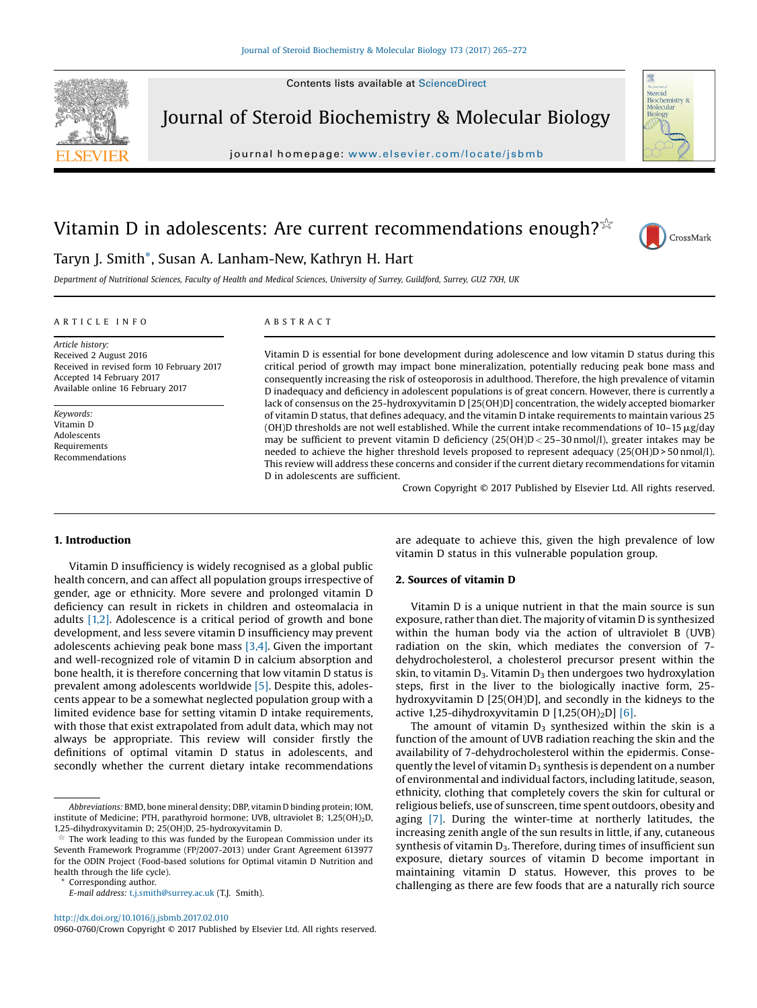

Journal of Steroid Biochemistry & Molecular Biology

journal homepage: <www.elsevier.com/locate/jsbmb>b/ $j$ sbmbb/sbmbb/sbmbb/sbmbb/sbmbb/sbmbb/sbmbb/sbmbb/sbmbb/sbmbb/sbmbb/sbmbb/sbmbb/sbmbb/sbmbb/sbmbb/sbmbb/sbmbb/sbmbb/sbmbb/sbmbb/sbmbb/sbmbb/sbmbb/sbmbb/sbmbb/sbmbb/sbmbb/s

# Vitamin D in adolescents: Are current recommendations enough? $\frac{1}{2}$



Steroid Biochemistry &<br>Molecular

# Taryn J. Smith\*, Susan A. Lanham-New, Kathryn H. Hart

Department of Nutritional Sciences, Faculty of Health and Medical Sciences, University of Surrey, Guildford, Surrey, GU2 7XH, UK

#### A R T I C L E I N F O

Article history: Received 2 August 2016 Received in revised form 10 February 2017 Accepted 14 February 2017 Available online 16 February 2017

Keywords: Vitamin D Adolescents Requirements Recommendations

# A B S T R A C T

Vitamin D is essential for bone development during adolescence and low vitamin D status during this critical period of growth may impact bone mineralization, potentially reducing peak bone mass and consequently increasing the risk of osteoporosis in adulthood. Therefore, the high prevalence of vitamin D inadequacy and deficiency in adolescent populations is of great concern. However, there is currently a lack of consensus on the 25-hydroxyvitamin D [25(OH)D] concentration, the widely accepted biomarker of vitamin D status, that defines adequacy, and the vitamin D intake requirements to maintain various 25 (OH)D thresholds are not well established. While the current intake recommendations of 10-15  $\mu$ g/day may be sufficient to prevent vitamin D deficiency  $(25(OH)D < 25-30 \text{ nmol/l})$ , greater intakes may be needed to achieve the higher threshold levels proposed to represent adequacy (25(OH)D > 50 nmol/l). This review will address these concerns and consider if the current dietary recommendations for vitamin D in adolescents are sufficient.

Crown Copyright © 2017 Published by Elsevier Ltd. All rights reserved.

#### 1. Introduction

Vitamin D insufficiency is widely recognised as a global public health concern, and can affect all population groups irrespective of gender, age or ethnicity. More severe and prolonged vitamin D deficiency can result in rickets in children and osteomalacia in adults [\[1,2\]](#page-5-0). Adolescence is a critical period of growth and bone development, and less severe vitamin D insufficiency may prevent adolescents achieving peak bone mass [\[3,4\].](#page-5-0) Given the important and well-recognized role of vitamin D in calcium absorption and bone health, it is therefore concerning that low vitamin D status is prevalent among adolescents worldwide [\[5\]](#page-5-0). Despite this, adolescents appear to be a somewhat neglected population group with a limited evidence base for setting vitamin D intake requirements, with those that exist extrapolated from adult data, which may not always be appropriate. This review will consider firstly the definitions of optimal vitamin D status in adolescents, and secondly whether the current dietary intake recommendations

Corresponding author.

<http://dx.doi.org/10.1016/j.jsbmb.2017.02.010>

0960-0760/Crown Copyright © 2017 Published by Elsevier Ltd. All rights reserved.

are adequate to achieve this, given the high prevalence of low vitamin D status in this vulnerable population group.

## 2. Sources of vitamin D

Vitamin D is a unique nutrient in that the main source is sun exposure, rather than diet. The majority of vitamin D is synthesized within the human body via the action of ultraviolet B (UVB) radiation on the skin, which mediates the conversion of 7 dehydrocholesterol, a cholesterol precursor present within the skin, to vitamin  $D_3$ . Vitamin  $D_3$  then undergoes two hydroxylation steps, first in the liver to the biologically inactive form, 25 hydroxyvitamin D [25(OH)D], and secondly in the kidneys to the active 1,25-dihydroxyvitamin D  $[1,25(OH)_2D]$  [\[6\].](#page-5-0)

The amount of vitamin  $D_3$  synthesized within the skin is a function of the amount of UVB radiation reaching the skin and the availability of 7-dehydrocholesterol within the epidermis. Consequently the level of vitamin  $D_3$  synthesis is dependent on a number of environmental and individual factors, including latitude, season, ethnicity, clothing that completely covers the skin for cultural or religious beliefs, use of sunscreen, time spent outdoors, obesity and aging [\[7\]](#page-5-0). During the winter-time at northerly latitudes, the increasing zenith angle of the sun results in little, if any, cutaneous synthesis of vitamin  $D_3$ . Therefore, during times of insufficient sun exposure, dietary sources of vitamin D become important in maintaining vitamin D status. However, this proves to be challenging as there are few foods that are a naturally rich source

Abbreviations: BMD, bone mineral density; DBP, vitamin D binding protein; IOM, institute of Medicine; PTH, parathyroid hormone; UVB, ultraviolet B; 1,25(OH)<sub>2</sub>D, 1,25-dihydroxyvitamin D; 25(OH)D, 25-hydroxyvitamin D.

The work leading to this was funded by the European Commission under its Seventh Framework Programme (FP/2007-2013) under Grant Agreement 613977 for the ODIN Project (Food-based solutions for Optimal vitamin D Nutrition and health through the life cycle).

E-mail address: [t.j.smith@surrey.ac.uk](mailto:t.j.smith@surrey.ac.uk) (T.J. Smith).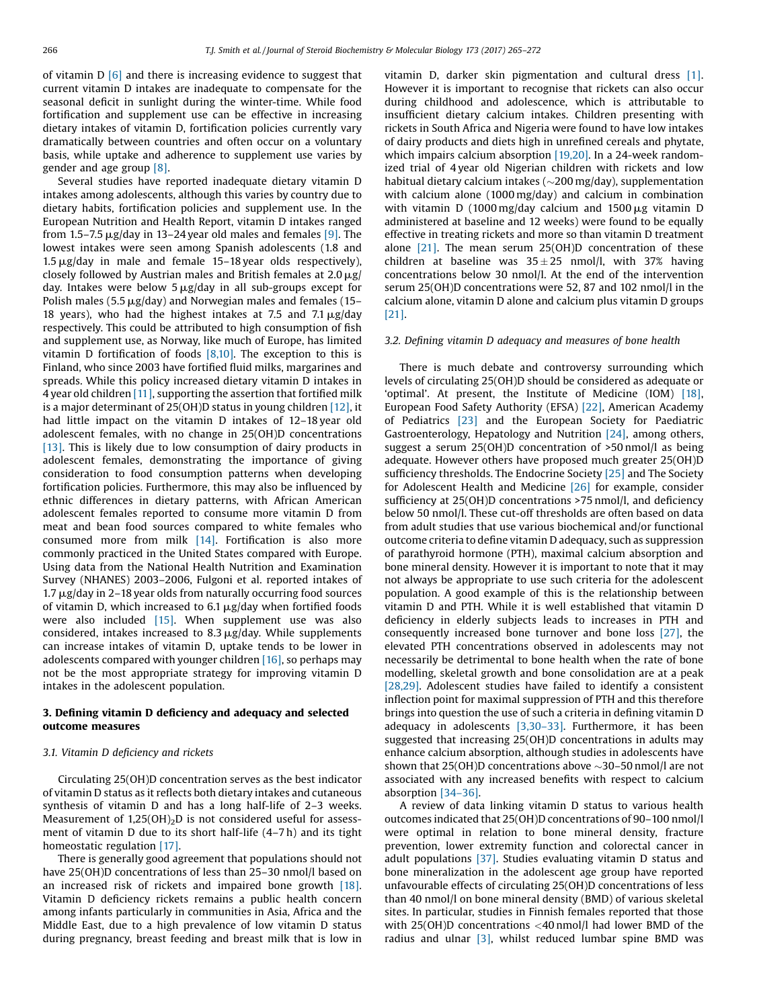<span id="page-1-0"></span>of vitamin D [\[6\]](#page-5-0) and there is increasing evidence to suggest that current vitamin D intakes are inadequate to compensate for the seasonal deficit in sunlight during the winter-time. While food fortification and supplement use can be effective in increasing dietary intakes of vitamin D, fortification policies currently vary dramatically between countries and often occur on a voluntary basis, while uptake and adherence to supplement use varies by gender and age group [\[8\].](#page-5-0)

Several studies have reported inadequate dietary vitamin D intakes among adolescents, although this varies by country due to dietary habits, fortification policies and supplement use. In the European Nutrition and Health Report, vitamin D intakes ranged from 1.5–7.5  $\mu$ g/day in 13–24 year old males and females [\[9\]](#page-5-0). The lowest intakes were seen among Spanish adolescents (1.8 and  $1.5 \mu$ g/day in male and female 15–18 year olds respectively), closely followed by Austrian males and British females at  $2.0 \mu g$ day. Intakes were below  $5 \mu g$  day in all sub-groups except for Polish males (5.5  $\mu$ g/day) and Norwegian males and females (15– 18 years), who had the highest intakes at 7.5 and 7.1  $\mu$ g/day respectively. This could be attributed to high consumption of fish and supplement use, as Norway, like much of Europe, has limited vitamin D fortification of foods  $[8,10]$ . The exception to this is Finland, who since 2003 have fortified fluid milks, margarines and spreads. While this policy increased dietary vitamin D intakes in 4 year old children  $[11]$ , supporting the assertion that fortified milk is a major determinant of 25(OH)D status in young children [\[12\]](#page-5-0), it had little impact on the vitamin D intakes of 12-18 year old adolescent females, with no change in 25(OH)D concentrations [\[13\]](#page-5-0). This is likely due to low consumption of dairy products in adolescent females, demonstrating the importance of giving consideration to food consumption patterns when developing fortification policies. Furthermore, this may also be influenced by ethnic differences in dietary patterns, with African American adolescent females reported to consume more vitamin D from meat and bean food sources compared to white females who consumed more from milk [\[14\]](#page-5-0). Fortification is also more commonly practiced in the United States compared with Europe. Using data from the National Health Nutrition and Examination Survey (NHANES) 2003–2006, Fulgoni et al. reported intakes of  $1.7 \,\mu$ g/day in 2–18 year olds from naturally occurring food sources of vitamin D, which increased to  $6.1 \mu$ g/day when fortified foods were also included  $[15]$ . When supplement use was also considered, intakes increased to  $8.3 \mu$ g/day. While supplements can increase intakes of vitamin D, uptake tends to be lower in adolescents compared with younger children  $[16]$ , so perhaps may not be the most appropriate strategy for improving vitamin D intakes in the adolescent population.

# 3. Defining vitamin D deficiency and adequacy and selected outcome measures

## 3.1. Vitamin D deficiency and rickets

Circulating 25(OH)D concentration serves as the best indicator of vitamin D status as it reflects both dietary intakes and cutaneous synthesis of vitamin D and has a long half-life of 2–3 weeks. Measurement of  $1,25(OH)_2D$  is not considered useful for assessment of vitamin D due to its short half-life (4–7 h) and its tight homeostatic regulation [\[17\]](#page-5-0).

There is generally good agreement that populations should not have 25(OH)D concentrations of less than 25–30 nmol/l based on an increased risk of rickets and impaired bone growth [\[18\].](#page-5-0) Vitamin D deficiency rickets remains a public health concern among infants particularly in communities in Asia, Africa and the Middle East, due to a high prevalence of low vitamin D status during pregnancy, breast feeding and breast milk that is low in vitamin D, darker skin pigmentation and cultural dress [\[1\].](#page-5-0) However it is important to recognise that rickets can also occur during childhood and adolescence, which is attributable to insufficient dietary calcium intakes. Children presenting with rickets in South Africa and Nigeria were found to have low intakes of dairy products and diets high in unrefined cereals and phytate, which impairs calcium absorption [\[19,20\]](#page-5-0). In a 24-week randomized trial of 4 year old Nigerian children with rickets and low habitual dietary calcium intakes ( $\sim$ 200 mg/day), supplementation with calcium alone (1000 mg/day) and calcium in combination with vitamin D (1000 mg/day calcium and  $1500 \,\mu$ g vitamin D administered at baseline and 12 weeks) were found to be equally effective in treating rickets and more so than vitamin D treatment alone [\[21\].](#page-5-0) The mean serum 25(OH)D concentration of these children at baseline was  $35 \pm 25$  nmol/l, with 37% having concentrations below 30 nmol/l. At the end of the intervention serum 25(OH)D concentrations were 52, 87 and 102 nmol/l in the calcium alone, vitamin D alone and calcium plus vitamin D groups [\[21\]](#page-5-0).

### 3.2. Defining vitamin D adequacy and measures of bone health

There is much debate and controversy surrounding which levels of circulating 25(OH)D should be considered as adequate or 'optimal'. At present, the Institute of Medicine (IOM) [\[18\],](#page-5-0) European Food Safety Authority (EFSA) [\[22\],](#page-5-0) American Academy of Pediatrics [\[23\]](#page-5-0) and the European Society for Paediatric Gastroenterology, Hepatology and Nutrition [\[24\]](#page-5-0), among others, suggest a serum 25(OH)D concentration of >50 nmol/l as being adequate. However others have proposed much greater 25(OH)D sufficiency thresholds. The Endocrine Society [\[25\]](#page-5-0) and The Society for Adolescent Health and Medicine [\[26\]](#page-5-0) for example, consider sufficiency at 25(OH)D concentrations >75 nmol/l, and deficiency below 50 nmol/l. These cut-off thresholds are often based on data from adult studies that use various biochemical and/or functional outcome criteria to define vitamin D adequacy, such as suppression of parathyroid hormone (PTH), maximal calcium absorption and bone mineral density. However it is important to note that it may not always be appropriate to use such criteria for the adolescent population. A good example of this is the relationship between vitamin D and PTH. While it is well established that vitamin D deficiency in elderly subjects leads to increases in PTH and consequently increased bone turnover and bone loss [\[27\]](#page-5-0), the elevated PTH concentrations observed in adolescents may not necessarily be detrimental to bone health when the rate of bone modelling, skeletal growth and bone consolidation are at a peak [\[28,29\].](#page-5-0) Adolescent studies have failed to identify a consistent inflection point for maximal suppression of PTH and this therefore brings into question the use of such a criteria in defining vitamin D adequacy in adolescents [\[3,30](#page-5-0)–33]. Furthermore, it has been suggested that increasing 25(OH)D concentrations in adults may enhance calcium absorption, although studies in adolescents have shown that 25(OH)D concentrations above  $\sim$ 30–50 nmol/l are not associated with any increased benefits with respect to calcium absorption [\[34](#page-5-0)–36].

A review of data linking vitamin D status to various health outcomes indicated that 25(OH)D concentrations of 90–100 nmol/l were optimal in relation to bone mineral density, fracture prevention, lower extremity function and colorectal cancer in adult populations [\[37\]](#page-6-0). Studies evaluating vitamin D status and bone mineralization in the adolescent age group have reported unfavourable effects of circulating 25(OH)D concentrations of less than 40 nmol/l on bone mineral density (BMD) of various skeletal sites. In particular, studies in Finnish females reported that those with 25(OH)D concentrations <40 nmol/l had lower BMD of the radius and ulnar [\[3\]](#page-5-0), whilst reduced lumbar spine BMD was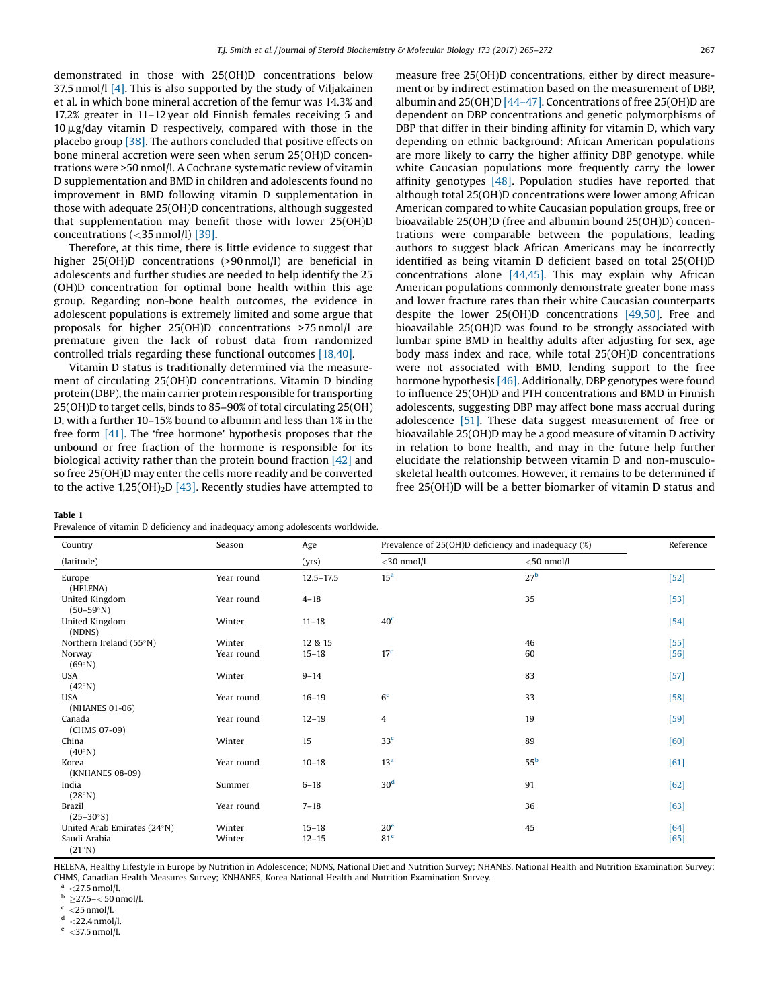<span id="page-2-0"></span>demonstrated in those with 25(OH)D concentrations below 37.5 nmol/l [\[4\]](#page-5-0). This is also supported by the study of Viljakainen et al. in which bone mineral accretion of the femur was 14.3% and 17.2% greater in 11–12 year old Finnish females receiving 5 and  $10 \mu$ g/day vitamin D respectively, compared with those in the placebo group  $[38]$ . The authors concluded that po bone mineral accretion were seen when serum 25 trations were >50 nmol/l. A Cochrane systematic re D supplementation and BMD in children and adole improvement in BMD following vitamin D suppl those with adequate 25(OH)D concentrations, alth that supplementation may benefit those with concentrations (<35 nmol/l) [\[39\]](#page-6-0).

#### Table 1

| Prevalence of vitamin D deficiency and inadequacy among adolescents worldwide. |  |  |  |
|--------------------------------------------------------------------------------|--|--|--|
|                                                                                |  |  |  |

| lacebo group [38]. The authors concluded that positive effects on                     |        |       |               | depending on ethnic background: African American populations       |           |
|---------------------------------------------------------------------------------------|--------|-------|---------------|--------------------------------------------------------------------|-----------|
| one mineral accretion were seen when serum 25(OH)D concen-                            |        |       |               | are more likely to carry the higher affinity DBP genotype, while   |           |
| ations were >50 nmol/l. A Cochrane systematic review of vitamin                       |        |       |               | white Caucasian populations more frequently carry the lower        |           |
| supplementation and BMD in children and adolescents found no                          |        |       |               | affinity genotypes $[48]$ . Population studies have reported that  |           |
| nprovement in BMD following vitamin D supplementation in                              |        |       |               | although total 25(OH)D concentrations were lower among African     |           |
| nose with adequate 25(OH)D concentrations, although suggested                         |        |       |               | American compared to white Caucasian population groups, free or    |           |
| at supplementation may benefit those with lower 25(OH)D                               |        |       |               | bioavailable 25(OH)D (free and albumin bound 25(OH)D) concen-      |           |
| $\alpha$ oncentrations (<35 nmol/l) [39].                                             |        |       |               | trations were comparable between the populations, leading          |           |
| Therefore, at this time, there is little evidence to suggest that                     |        |       |               | authors to suggest black African Americans may be incorrectly      |           |
| igher 25(OH)D concentrations (>90 nmol/l) are beneficial in                           |        |       |               | identified as being vitamin D deficient based on total 25(OH)D     |           |
| dolescents and further studies are needed to help identify the 25                     |        |       |               | concentrations alone [44,45]. This may explain why African         |           |
| OH)D concentration for optimal bone health within this age                            |        |       |               | American populations commonly demonstrate greater bone mass        |           |
| roup. Regarding non-bone health outcomes, the evidence in                             |        |       |               | and lower fracture rates than their white Caucasian counterparts   |           |
| dolescent populations is extremely limited and some argue that                        |        |       |               | despite the lower 25(OH)D concentrations $[49,50]$ . Free and      |           |
| roposals for higher 25(OH)D concentrations >75 nmol/l are                             |        |       |               | bioavailable 25(OH)D was found to be strongly associated with      |           |
| remature given the lack of robust data from randomized                                |        |       |               | lumbar spine BMD in healthy adults after adjusting for sex, age    |           |
| ontrolled trials regarding these functional outcomes [18,40].                         |        |       |               | body mass index and race, while total 25(OH)D concentrations       |           |
| Vitamin D status is traditionally determined via the measure-                         |        |       |               | were not associated with BMD, lending support to the free          |           |
| ent of circulating 25(OH)D concentrations. Vitamin D binding                          |        |       |               | hormone hypothesis $[46]$ . Additionally, DBP genotypes were found |           |
| rotein (DBP), the main carrier protein responsible for transporting                   |        |       |               | to influence 25(OH)D and PTH concentrations and BMD in Finnish     |           |
| 5(OH)D to target cells, binds to 85-90% of total circulating 25(OH)                   |        |       |               | adolescents, suggesting DBP may affect bone mass accrual during    |           |
| , with a further 10–15% bound to albumin and less than 1% in the                      |        |       |               | adolescence [51]. These data suggest measurement of free or        |           |
| ee form [41]. The 'free hormone' hypothesis proposes that the                         |        |       |               | bioavailable 25(OH)D may be a good measure of vitamin D activity   |           |
| nbound or free fraction of the hormone is responsible for its                         |        |       |               | in relation to bone health, and may in the future help further     |           |
| iological activity rather than the protein bound fraction [42] and                    |        |       |               | elucidate the relationship between vitamin D and non-musculo-      |           |
| free 25(OH)D may enter the cells more readily and be converted                        |        |       |               | skeletal health outcomes. However, it remains to be determined if  |           |
| the active $1,25(OH)_2D$ [43]. Recently studies have attempted to                     |        |       |               | free 25(OH)D will be a better biomarker of vitamin D status and    |           |
|                                                                                       |        |       |               |                                                                    |           |
| ble 1<br>evalence of vitamin D deficiency and inadequacy among adolescents worldwide. |        |       |               |                                                                    |           |
|                                                                                       |        |       |               |                                                                    |           |
| Country                                                                               | Season | Age   |               | Prevalence of 25(OH)D deficiency and inadequacy (%)                | Reference |
| (latitude)                                                                            |        | (yrs) | $<$ 30 nmol/l | $<$ 50 nmol/l                                                      |           |
|                                                                                       |        |       |               |                                                                    |           |

measure free 25(OH)D concentrations, either by direct measurement or by indirect estimation based on the measurement of DBP, albumin and 25(OH)D [\[44](#page-6-0)–47]. Concentrations of free 25(OH)D are dependent on DBP concentrations and genetic polymorphisms of DBP that differ in their binding affinity for vitamin D, which vary

| Country                       | эсаэон     | nge           | $r$ revalence or $z$ $\cup$ $r$ $\cup$ $r$ denciency and madequacy $\langle \infty \rangle$ |                 | reference |  |
|-------------------------------|------------|---------------|---------------------------------------------------------------------------------------------|-----------------|-----------|--|
| (latitude)                    |            | (yrs)         | $<$ 30 nmol/l                                                                               | $<$ 50 nmol/l   |           |  |
| Europe<br>(HELENA)            | Year round | $12.5 - 17.5$ | 15 <sup>a</sup>                                                                             | 27 <sup>b</sup> | $[52]$    |  |
| United Kingdom<br>$(50-59°N)$ | Year round | $4 - 18$      |                                                                                             | 35              | $[53]$    |  |
| United Kingdom<br>(NDNS)      | Winter     | $11 - 18$     | 40 <sup>c</sup>                                                                             |                 | $[54]$    |  |
| Northern Ireland $(55°N)$     | Winter     | 12 & 15       |                                                                                             | 46              | $[55]$    |  |
| Norway<br>(69°N)              | Year round | $15 - 18$     | 17 <sup>c</sup>                                                                             | 60              | $[56]$    |  |
| <b>USA</b><br>(42°N)          | Winter     | $9 - 14$      |                                                                                             | 83              | $[57]$    |  |
| <b>USA</b><br>(NHANES 01-06)  | Year round | $16 - 19$     | 6 <sup>c</sup>                                                                              | 33              | $[58]$    |  |
| Canada<br>(CHMS 07-09)        | Year round | $12 - 19$     | 4                                                                                           | 19              | $[59]$    |  |
| China<br>(40°N)               | Winter     | 15            | 33 <sup>c</sup>                                                                             | 89              | [60]      |  |
| Korea<br>(KNHANES 08-09)      | Year round | $10 - 18$     | 13 <sup>a</sup>                                                                             | 55 <sup>b</sup> | $[61]$    |  |
| India<br>(28°N)               | Summer     | $6 - 18$      | 30 <sup>d</sup>                                                                             | 91              | $[62]$    |  |
| <b>Brazil</b><br>$(25-30°S)$  | Year round | $7 - 18$      |                                                                                             | 36              | $[63]$    |  |
| United Arab Emirates (24°N)   | Winter     | $15 - 18$     | 20 <sup>e</sup>                                                                             | 45              | $[64]$    |  |
| Saudi Arabia<br>(21°N)        | Winter     | $12 - 15$     | 81 <sup>c</sup>                                                                             |                 | [65]      |  |

HELENA, Healthy Lifestyle in Europe by Nutrition in Adolescence; NDNS, National Diet and Nutrition Survey; NHANES, National Health and Nutrition Examination Survey; CHMS, Canadian Health Measures Survey; KNHANES, Korea National Health and Nutrition Examination Survey.

 $a \leq 27.5$  nmol/l.

 $b \ge 27.5 - < 50 \text{ nmol/l}.$ <br>c <25 nmol/l.

 $<$ 22.4 nmol/l.

 $<$  37.5 nmol/l.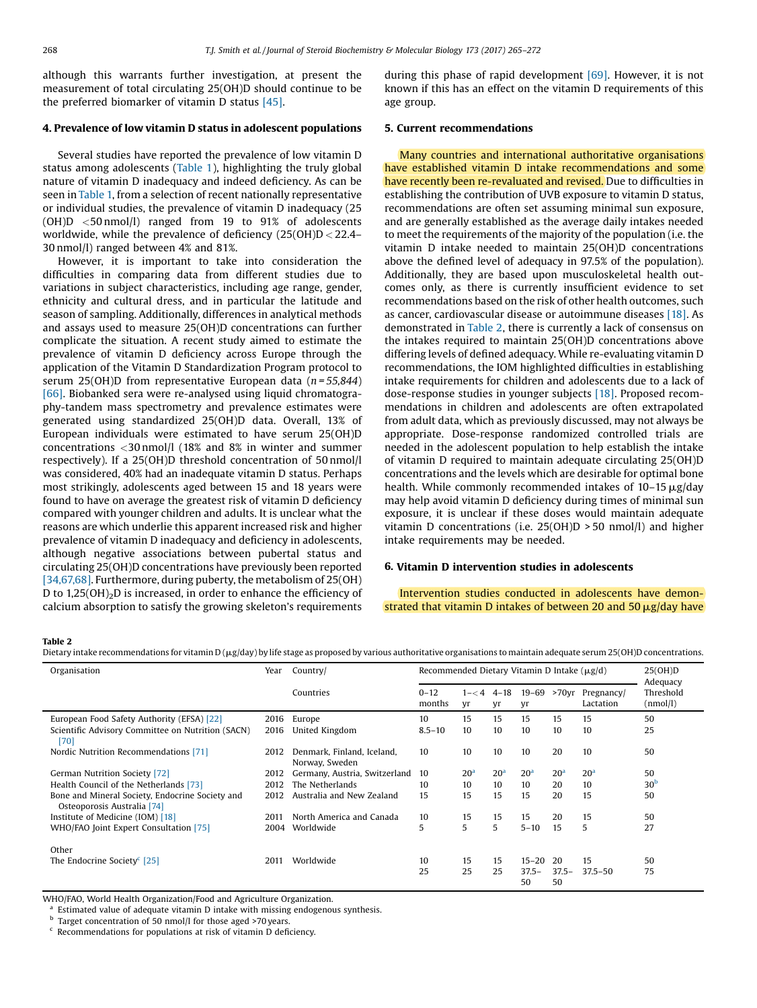although this warrants further investigation, at present the measurement of total circulating 25(OH)D should continue to be the preferred biomarker of vitamin D status [\[45\]](#page-6-0).

## 4. Prevalence of low vitamin D status in adolescent populations

Several studies have reported the prevalence of low vitamin D status among adolescents [\(Table](#page-2-0) 1), highlighting the truly global nature of vitamin D inadequacy and indeed deficiency. As can be seen in [Table](#page-2-0) 1, from a selection of recent nationally representative or individual studies, the prevalence of vitamin D inadequacy (25 (OH)D <50 nmol/l) ranged from 19 to 91% of adolescents worldwide, while the prevalence of deficiency (25(OH)D < 22.4– 30 nmol/l) ranged between 4% and 81%.

However, it is important to take into consideration the difficulties in comparing data from different studies due to variations in subject characteristics, including age range, gender, ethnicity and cultural dress, and in particular the latitude and season of sampling. Additionally, differences in analytical methods and assays used to measure 25(OH)D concentrations can further complicate the situation. A recent study aimed to estimate the prevalence of vitamin D deficiency across Europe through the application of the Vitamin D Standardization Program protocol to serum 25(OH)D from representative European data ( $n = 55,844$ ) [\[66\]](#page-6-0). Biobanked sera were re-analysed using liquid chromatography-tandem mass spectrometry and prevalence estimates were generated using standardized 25(OH)D data. Overall, 13% of European individuals were estimated to have serum 25(OH)D concentrations <30 nmol/l (18% and 8% in winter and summer respectively). If a 25(OH)D threshold concentration of 50 nmol/l was considered, 40% had an inadequate vitamin D status. Perhaps most strikingly, adolescents aged between 15 and 18 years were found to have on average the greatest risk of vitamin D deficiency compared with younger children and adults. It is unclear what the reasons are which underlie this apparent increased risk and higher prevalence of vitamin D inadequacy and deficiency in adolescents, although negative associations between pubertal status and circulating 25(OH)D concentrations have previously been reported [\[34,67,68\].](#page-5-0) Furthermore, during puberty, the metabolism of 25(OH) D to  $1,25(OH)_2D$  is increased, in order to enhance the efficiency of calcium absorption to satisfy the growing skeleton's requirements

during this phase of rapid development [\[69\]](#page-6-0). However, it is not known if this has an effect on the vitamin D requirements of this age group.

# 5. Current recommendations

Many countries and international authoritative organisations have established vitamin D intake recommendations and some have recently been re-revaluated and revised. Due to difficulties in establishing the contribution of UVB exposure to vitamin D status, recommendations are often set assuming minimal sun exposure, and are generally established as the average daily intakes needed to meet the requirements of the majority of the population (i.e. the vitamin D intake needed to maintain 25(OH)D concentrations above the defined level of adequacy in 97.5% of the population). Additionally, they are based upon musculoskeletal health outcomes only, as there is currently insufficient evidence to set recommendations based on the risk of other health outcomes, such as cancer, cardiovascular disease or autoimmune diseases [\[18\]](#page-5-0). As demonstrated in Table 2, there is currently a lack of consensus on the intakes required to maintain 25(OH)D concentrations above differing levels of defined adequacy. While re-evaluating vitamin D recommendations, the IOM highlighted difficulties in establishing intake requirements for children and adolescents due to a lack of dose-response studies in younger subjects [\[18\]](#page-5-0). Proposed recommendations in children and adolescents are often extrapolated from adult data, which as previously discussed, may not always be appropriate. Dose-response randomized controlled trials are needed in the adolescent population to help establish the intake of vitamin D required to maintain adequate circulating 25(OH)D concentrations and the levels which are desirable for optimal bone health. While commonly recommended intakes of  $10-15 \mu$ g/day may help avoid vitamin D deficiency during times of minimal sun exposure, it is unclear if these doses would maintain adequate vitamin D concentrations (i.e. 25(OH)D > 50 nmol/l) and higher intake requirements may be needed.

## 6. Vitamin D intervention studies in adolescents

Intervention studies conducted in adolescents have demonstrated that vitamin D intakes of between 20 and 50  $\mu$ g/day have

#### Table 2

Dietary intake recommendations for vitamin D ( $\mu$ g/day) by life stage as proposed by various authoritative organisations to maintain adequate serum 25(OH)D concentrations.

| Organisation                                                                   | Year | Country/                                     | Recommended Dietary Vitamin D Intake $(\mu g/d)$ |                 |                 |                 |                 | 25(OH)D<br>Adequacy     |                       |
|--------------------------------------------------------------------------------|------|----------------------------------------------|--------------------------------------------------|-----------------|-----------------|-----------------|-----------------|-------------------------|-----------------------|
|                                                                                |      | Countries                                    | $0 - 12$<br>months                               | $1 - 4$<br>Vr   | $4 - 18$<br>Vľ  | $19 - 69$<br>yr | >70yr           | Pregnancy/<br>Lactation | Threshold<br>(nmol/l) |
| European Food Safety Authority (EFSA) [22]                                     | 2016 | Europe                                       | 10                                               | 15              | 15              | 15              | 15              | 15                      | 50                    |
| Scientific Advisory Committee on Nutrition (SACN)<br>[70]                      | 2016 | United Kingdom                               | $8.5 - 10$                                       | 10              | 10              | 10              | 10              | 10                      | 25                    |
| Nordic Nutrition Recommendations [71]                                          | 2012 | Denmark, Finland, Iceland,<br>Norway, Sweden | 10 <sup>10</sup>                                 | 10              | 10              | 10              | 20              | 10                      | 50                    |
| <b>German Nutrition Society</b> [72]                                           | 2012 | Germany, Austria, Switzerland                | 10                                               | 20 <sup>a</sup> | 20 <sup>a</sup> | 20 <sup>a</sup> | 20 <sup>a</sup> | 20 <sup>a</sup>         | 50                    |
| Health Council of the Netherlands [73]                                         | 2012 | The Netherlands                              | 10                                               | 10              | 10              | 10              | 20              | 10                      | 30 <sup>b</sup>       |
| Bone and Mineral Society, Endocrine Society and<br>Osteoporosis Australia [74] | 2012 | Australia and New Zealand                    | 15                                               | 15              | 15              | 15              | 20              | 15                      | 50                    |
| Institute of Medicine (IOM) [18]                                               | 2011 | North America and Canada                     | 10                                               | 15              | 15              | 15              | 20              | 15                      | 50                    |
| WHO/FAO Joint Expert Consultation [75]                                         | 2004 | Worldwide                                    | 5                                                | 5               | 5               | $5 - 10$        | 15              | 5                       | 27                    |
| Other                                                                          |      |                                              |                                                  |                 |                 |                 |                 |                         |                       |
| The Endocrine Society <sup>c</sup> [25]                                        | 2011 | Worldwide                                    | 10                                               | 15              | 15              | $15 - 20$       | 20              | 15                      | 50                    |
|                                                                                |      |                                              | 25                                               | 25              | 25              | $37.5 -$<br>50  | $37.5 -$<br>50  | $37.5 - 50$             | 75                    |

WHO/FAO, World Health Organization/Food and Agriculture Organization.

<sup>a</sup> Estimated value of adequate vitamin D intake with missing endogenous synthesis.

**b** Target concentration of 50 nmol/l for those aged >70 years.

<sup>c</sup> Recommendations for populations at risk of vitamin D deficiency.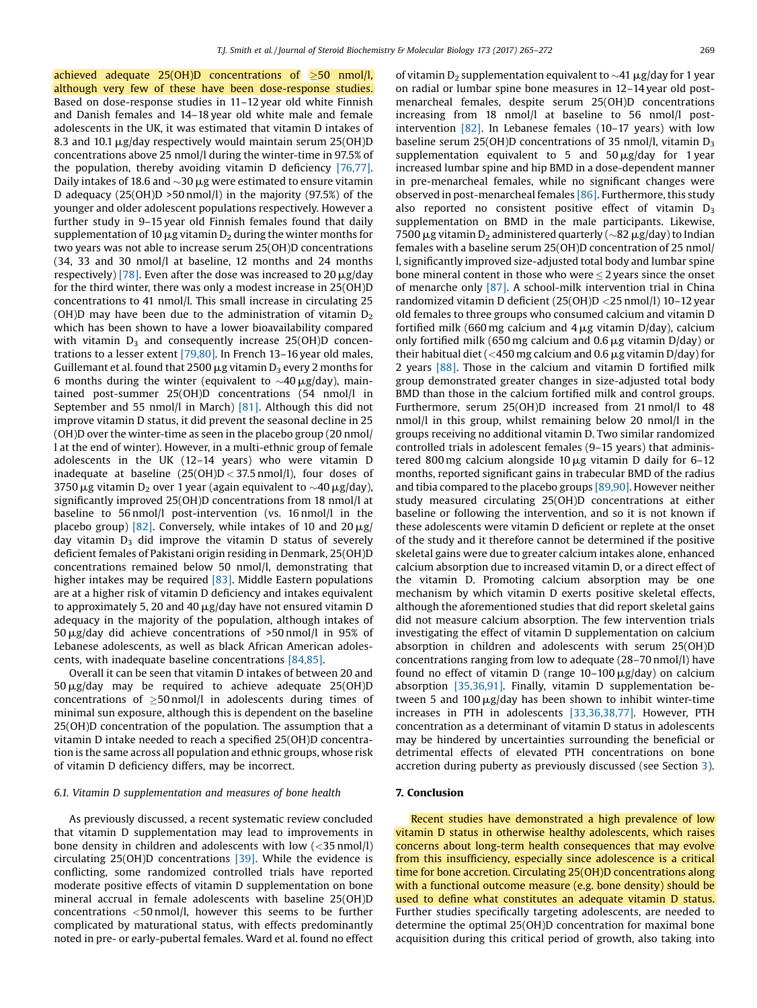achieved adequate  $25(OH)D$  concentrations of  $>50$  nmol/l, although very few of these have been dose-response studies. Based on dose-response studies in 11–12 year old white Finnish and Danish females and 14–18 year old white male and female adolescents in the UK, it was estimated that vitamin D intakes of 8.3 and 10.1  $\mu$ g/day respectively would maintain serum 25(OH)D concentrations above 25 nmol/l during the winter-time in 97.5% of the population, thereby avoiding vitamin D deficiency [\[76,77\].](#page-6-0) Daily intakes of 18.6 and  $\sim$ 30 µg were estimated to ensure vitamin D adequacy (25(OH)D >50 nmol/l) in the majority (97.5%) of the younger and older adolescent populations respectively. However a further study in 9–15 year old Finnish females found that daily supplementation of 10  $\mu$ g vitamin D<sub>2</sub> during the winter months for two years was not able to increase serum 25(OH)D concentrations (34, 33 and 30 nmol/l at baseline, 12 months and 24 months respectively) [\[78\]](#page-6-0). Even after the dose was increased to  $20 \mu$ g/day for the third winter, there was only a modest increase in 25(OH)D concentrations to 41 nmol/l. This small increase in circulating 25 (OH)D may have been due to the administration of vitamin  $D_2$ which has been shown to have a lower bioavailability compared with vitamin  $D_3$  and consequently increase 25(OH)D concen-trations to a lesser extent [\[79,80\]](#page-7-0). In French 13–16 year old males, Guillemant et al. found that 2500  $\mu$ g vitamin D<sub>3</sub> every 2 months for 6 months during the winter (equivalent to  $\sim$ 40 µg/day), maintained post-summer 25(OH)D concentrations (54 nmol/l in September and 55 nmol/l in March) [\[81\]](#page-7-0). Although this did not improve vitamin D status, it did prevent the seasonal decline in 25 (OH)D over the winter-time as seen in the placebo group (20 nmol/ l at the end of winter). However, in a multi-ethnic group of female adolescents in the UK (12–14 years) who were vitamin D inadequate at baseline  $(25(OH)D < 37.5 \text{ nmol/l})$ , four doses of 3750 µg vitamin D<sub>2</sub> over 1 year (again equivalent to  $\sim$ 40 µg/day), significantly improved 25(OH)D concentrations from 18 nmol/l at baseline to 56 nmol/l post-intervention (vs. 16 nmol/l in the placebo group) [\[82\]](#page-7-0). Conversely, while intakes of 10 and 20  $\mu$ g/ day vitamin  $D_3$  did improve the vitamin D status of severely deficient females of Pakistani origin residing in Denmark, 25(OH)D concentrations remained below 50 nmol/l, demonstrating that higher intakes may be required [\[83\]](#page-7-0). Middle Eastern populations are at a higher risk of vitamin D deficiency and intakes equivalent to approximately 5, 20 and 40  $\mu$ g/day have not ensured vitamin D adequacy in the majority of the population, although intakes of 50  $\mu$ g/day did achieve concentrations of >50 nmol/l in 95% of Lebanese adolescents, as well as black African American adolescents, with inadequate baseline concentrations [\[84,85\].](#page-7-0)

Overall it can be seen that vitamin D intakes of between 20 and  $50 \,\mu$ g/day may be required to achieve adequate 25(OH)D concentrations of  $\geq$ 50 nmol/l in adolescents during times of minimal sun exposure, although this is dependent on the baseline 25(OH)D concentration of the population. The assumption that a vitamin D intake needed to reach a specified 25(OH)D concentration is the same across all population and ethnic groups, whose risk of vitamin D deficiency differs, may be incorrect.

## 6.1. Vitamin D supplementation and measures of bone health

As previously discussed, a recent systematic review concluded that vitamin D supplementation may lead to improvements in bone density in children and adolescents with low (<35 nmol/l) circulating 25(OH)D concentrations [\[39\].](#page-6-0) While the evidence is conflicting, some randomized controlled trials have reported moderate positive effects of vitamin D supplementation on bone mineral accrual in female adolescents with baseline 25(OH)D concentrations <50 nmol/l, however this seems to be further complicated by maturational status, with effects predominantly noted in pre- or early-pubertal females. Ward et al. found no effect of vitamin  $D_2$  supplementation equivalent to  $\sim$ 41  $\mu$ g/day for 1 year on radial or lumbar spine bone measures in 12–14 year old postmenarcheal females, despite serum 25(OH)D concentrations increasing from 18 nmol/l at baseline to 56 nmol/l postintervention [\[82\].](#page-7-0) In Lebanese females (10–17 years) with low baseline serum 25(OH)D concentrations of 35 nmol/l, vitamin  $D_3$ supplementation equivalent to 5 and  $50 \mu$ g/day for 1 year increased lumbar spine and hip BMD in a dose-dependent manner in pre-menarcheal females, while no significant changes were observed in post-menarcheal females  $[86]$ . Furthermore, this study also reported no consistent positive effect of vitamin  $D_3$ supplementation on BMD in the male participants. Likewise, 7500 µg vitamin D<sub>2</sub> administered quarterly ( $\sim$ 82 µg/day) to Indian females with a baseline serum 25(OH)D concentration of 25 nmol/ l, significantly improved size-adjusted total body and lumbar spine bone mineral content in those who were  $\leq$  2 years since the onset of menarche only [\[87\].](#page-7-0) A school-milk intervention trial in China randomized vitamin D deficient (25(OH)D <25 nmol/l) 10–12 year old females to three groups who consumed calcium and vitamin D fortified milk (660 mg calcium and  $4 \mu$ g vitamin D/day), calcium only fortified milk (650 mg calcium and 0.6  $\mu$ g vitamin D/day) or their habitual diet (<450 mg calcium and 0.6  $\mu$ g vitamin D/day) for 2 years [\[88\]](#page-7-0). Those in the calcium and vitamin D fortified milk group demonstrated greater changes in size-adjusted total body BMD than those in the calcium fortified milk and control groups. Furthermore, serum 25(OH)D increased from 21 nmol/l to 48 nmol/l in this group, whilst remaining below 20 nmol/l in the groups receiving no additional vitamin D. Two similar randomized controlled trials in adolescent females (9–15 years) that administered 800 mg calcium alongside 10  $\mu$ g vitamin D daily for 6–12 months, reported significant gains in trabecular BMD of the radius and tibia compared to the placebo groups [\[89,90\]](#page-7-0). However neither study measured circulating 25(OH)D concentrations at either baseline or following the intervention, and so it is not known if these adolescents were vitamin D deficient or replete at the onset of the study and it therefore cannot be determined if the positive skeletal gains were due to greater calcium intakes alone, enhanced calcium absorption due to increased vitamin D, or a direct effect of the vitamin D. Promoting calcium absorption may be one mechanism by which vitamin D exerts positive skeletal effects, although the aforementioned studies that did report skeletal gains did not measure calcium absorption. The few intervention trials investigating the effect of vitamin D supplementation on calcium absorption in children and adolescents with serum 25(OH)D concentrations ranging from low to adequate (28–70 nmol/l) have found no effect of vitamin D (range  $10-100 \mu g/day$ ) on calcium absorption [\[35,36,91\].](#page-5-0) Finally, vitamin D supplementation between 5 and  $100 \mu g$ /day has been shown to inhibit winter-time increases in PTH in adolescents [\[33,36,38,77\].](#page-5-0) However, PTH concentration as a determinant of vitamin D status in adolescents may be hindered by uncertainties surrounding the beneficial or detrimental effects of elevated PTH concentrations on bone accretion during puberty as previously discussed (see Section [3](#page-1-0)).

# 7. Conclusion

Recent studies have demonstrated a high prevalence of low vitamin D status in otherwise healthy adolescents, which raises concerns about long-term health consequences that may evolve from this insufficiency, especially since adolescence is a critical time for bone accretion. Circulating 25(OH)D concentrations along with a functional outcome measure (e.g. bone density) should be used to define what constitutes an adequate vitamin D status. Further studies specifically targeting adolescents, are needed to determine the optimal 25(OH)D concentration for maximal bone acquisition during this critical period of growth, also taking into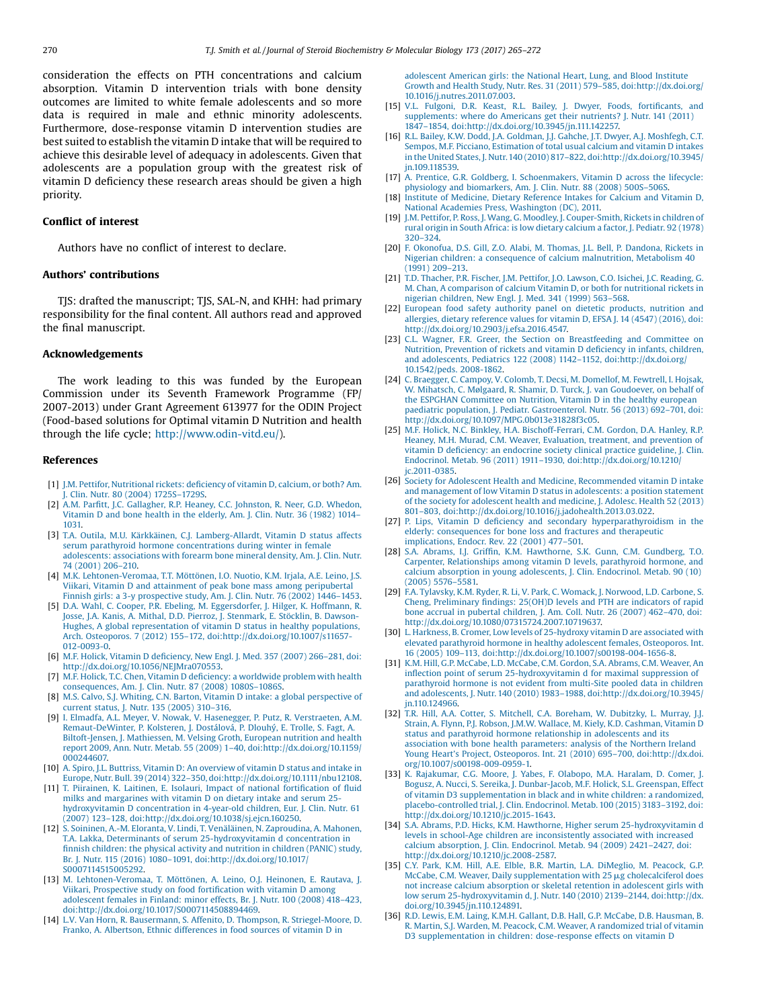<span id="page-5-0"></span>consideration the effects on PTH concentrations and calcium absorption. Vitamin D intervention trials with bone density outcomes are limited to white female adolescents and so more data is required in male and ethnic minority adolescents. Furthermore, dose-response vitamin D intervention studies are best suited to establish the vitamin D intake that will be required to achieve this desirable level of adequacy in adolescents. Given that adolescents are a population group with the greatest risk of vitamin D deficiency these research areas should be given a high priority.

### Conflict of interest

Authors have no conflict of interest to declare.

### Authors' contributions

TJS: drafted the manuscript; TJS, SAL-N, and KHH: had primary responsibility for the final content. All authors read and approved the final manuscript.

# Acknowledgements

The work leading to this was funded by the European Commission under its Seventh Framework Programme (FP/ 2007-2013) under Grant Agreement 613977 for the ODIN Project (Food-based solutions for Optimal vitamin D Nutrition and health through the life cycle; [http://www.odin-vitd.eu/\)](http://www.odin-vitd.eu/).

### References

- [1] J.M. Pettifor, [Nutritional](http://refhub.elsevier.com/S0960-0760(17)30045-6/sbref0005) rickets: deficiency of vitamin D, calcium, or both? Am. J. Clin. Nutr. 80 [\(2004\)](http://refhub.elsevier.com/S0960-0760(17)30045-6/sbref0005) 1725S–1729S.
- [2] A.M. Parfitt, J.C. [Gallagher,](http://refhub.elsevier.com/S0960-0760(17)30045-6/sbref0010) R.P. Heaney, C.C. Johnston, R. Neer, G.D. Whedon, [Vitamin](http://refhub.elsevier.com/S0960-0760(17)30045-6/sbref0010) D and bone health in the elderly, Am. J. Clin. Nutr. 36 (1982) 1014– [1031.](http://refhub.elsevier.com/S0960-0760(17)30045-6/sbref0010)
- [3] T.A. Outila, M.U. Kärkkäinen, C.J. [Lamberg-Allardt,](http://refhub.elsevier.com/S0960-0760(17)30045-6/sbref0015) Vitamin D status affects serum parathyroid hormone [concentrations](http://refhub.elsevier.com/S0960-0760(17)30045-6/sbref0015) during winter in female [adolescents:](http://refhub.elsevier.com/S0960-0760(17)30045-6/sbref0015) associations with forearm bone mineral density, Am. J. Clin. Nutr. 74 [\(2001\)](http://refhub.elsevier.com/S0960-0760(17)30045-6/sbref0015) 206–210.
- [4] M.K. [Lehtonen-Veromaa,](http://refhub.elsevier.com/S0960-0760(17)30045-6/sbref0020) T.T. Möttönen, I.O. Nuotio, K.M. Irjala, A.E. Leino, J.S. Viikari, Vitamin D and attainment of peak bone mass among [peripubertal](http://refhub.elsevier.com/S0960-0760(17)30045-6/sbref0020) Finnish girls: a 3-y [prospective](http://refhub.elsevier.com/S0960-0760(17)30045-6/sbref0020) study, Am. J. Clin. Nutr. 76 (2002) 1446–1453.
- [5] D.A. Wahl, C. Cooper, P.R. Ebeling, M. [Eggersdorfer,](http://refhub.elsevier.com/S0960-0760(17)30045-6/sbref0025) J. Hilger, K. Hoffmann, R. Josse, J.A. Kanis, A. Mithal, D.D. Pierroz, J. [Stenmark,](http://refhub.elsevier.com/S0960-0760(17)30045-6/sbref0025) E. Stöcklin, B. Dawson-Hughes, A global [representation](http://refhub.elsevier.com/S0960-0760(17)30045-6/sbref0025) of vitamin D status in healthy populations, Arch. Osteoporos. 7 (2012) 155–172, [doi:http://dx.doi.org/10.1007/s11657-](http://refhub.elsevier.com/S0960-0760(17)30045-6/sbref0025) [012-0093-0.](http://dx.doi.org/10.1007/s11657-012-0093-0)
- [6] M.F. Holick, [Vitamin](http://refhub.elsevier.com/S0960-0760(17)30045-6/sbref0030) D deficiency, New Engl. J. Med. 357 (2007) 266–281, doi: [http://dx.doi.org/10.1056/NEJMra070553.](http://dx.doi.org/10.1056/NEJMra070553)
- [7] M.F. Holick, T.C. Chen, Vitamin D deficiency: a [worldwide](http://refhub.elsevier.com/S0960-0760(17)30045-6/sbref0035) problem with health [consequences,](http://refhub.elsevier.com/S0960-0760(17)30045-6/sbref0035) Am. J. Clin. Nutr. 87 (2008) 1080S–1086S.
- [8] M.S. Calvo, S.J. Whiting, C.N. Barton, Vitamin D intake: a global [perspective](http://refhub.elsevier.com/S0960-0760(17)30045-6/sbref0040) of [current](http://refhub.elsevier.com/S0960-0760(17)30045-6/sbref0040) status, J. Nutr. 135 (2005) 310–316.
- [9] I. Elmadfa, A.L. Meyer, V. Nowak, V. Hasenegger, P. Putz, R. [Verstraeten,](http://refhub.elsevier.com/S0960-0760(17)30045-6/sbref0045) A.M. [Remaut-DeWinter,](http://refhub.elsevier.com/S0960-0760(17)30045-6/sbref0045) P. Kolsteren, J. Dostálová, P. Dlouhý, E. Trolle, S. Fagt, A. [Biltoft-Jensen,](http://refhub.elsevier.com/S0960-0760(17)30045-6/sbref0045) J. Mathiessen, M. Velsing Groth, European nutrition and health report 2009, Ann. Nutr. Metab. 55 (2009) 1–40, [doi:http://dx.doi.org/10.1159/](http://refhub.elsevier.com/S0960-0760(17)30045-6/sbref0045) [000244607.](http://dx.doi.org/10.1159/000244607)
- [10] A. Spiro, J.L. Buttriss, Vitamin D: An [overview](http://refhub.elsevier.com/S0960-0760(17)30045-6/sbref0050) of vitamin D status and intake in Europe, Nutr. Bull. 39 (2014) 322–350, [doi:http://dx.doi.org/10.1111/nbu12108.](http://refhub.elsevier.com/S0960-0760(17)30045-6/sbref0050)
- [11] T. [Piirainen,](http://refhub.elsevier.com/S0960-0760(17)30045-6/sbref0055) K. Laitinen, E. Isolauri, Impact of national fortification of fluid milks and [margarines](http://refhub.elsevier.com/S0960-0760(17)30045-6/sbref0055) with vitamin D on dietary intake and serum 25 [hydroxyvitamin](http://refhub.elsevier.com/S0960-0760(17)30045-6/sbref0055) D concentration in 4-year-old children, Eur. J. Clin. Nutr. 61 (2007) 123–128, [doi:http://dx.doi.org/10.1038/sj.ejcn.160250.](http://refhub.elsevier.com/S0960-0760(17)30045-6/sbref0055)
- [12] S. Soininen, A.-M. Eloranta, V. Lindi, T. Venäläinen, N. [Zaproudina,](http://refhub.elsevier.com/S0960-0760(17)30045-6/sbref0060) A. Mahonen, T.A. Lakka, Determinants of serum [25-hydroxyvitamin](http://refhub.elsevier.com/S0960-0760(17)30045-6/sbref0060) d concentration in finnish [children:](http://refhub.elsevier.com/S0960-0760(17)30045-6/sbref0060) the physical activity and nutrition in children (PANIC) study, Br. J. Nutr. 115 (2016) 1080–1091, [doi:http://dx.doi.org/10.1017/](http://refhub.elsevier.com/S0960-0760(17)30045-6/sbref0060) [S0007114515005292.](http://dx.doi.org/10.1017/S0007114515005292)
- [13] M. [Lehtonen-Veromaa,](http://refhub.elsevier.com/S0960-0760(17)30045-6/sbref0065) T. Möttönen, A. Leino, O.J. Heinonen, E. Rautava, J. Viikari, [Prospective](http://refhub.elsevier.com/S0960-0760(17)30045-6/sbref0065) study on food fortification with vitamin D among [adolescent](http://refhub.elsevier.com/S0960-0760(17)30045-6/sbref0065) females in Finland: minor effects, Br. J. Nutr. 100 (2008) 418–423, [doi:http://dx.doi.org/10.1017/S0007114508894469.](http://refhub.elsevier.com/S0960-0760(17)30045-6/sbref0065)
- [14] L.V. Van Horn, R. Bausermann, S. Affenito, D. Thompson, R. [Striegel-Moore,](http://refhub.elsevier.com/S0960-0760(17)30045-6/sbref0070) D. Franko, A. Albertson, Ethnic [differences](http://refhub.elsevier.com/S0960-0760(17)30045-6/sbref0070) in food sources of vitamin D in

[adolescent](http://refhub.elsevier.com/S0960-0760(17)30045-6/sbref0070) American girls: the National Heart, Lung, and Blood Institute Growth and Health Study, Nutr. Res. 31 (2011) 579–585, [doi:http://dx.doi.org/](http://refhub.elsevier.com/S0960-0760(17)30045-6/sbref0070) [10.1016/j.nutres.2011.07.003.](http://dx.doi.org/10.1016/j.nutres.2011.07.003)

- [15] V.L. [Fulgoni,](http://refhub.elsevier.com/S0960-0760(17)30045-6/sbref0075) D.R. Keast, R.L. Bailey, J. Dwyer, Foods, fortificants, and [supplements:](http://refhub.elsevier.com/S0960-0760(17)30045-6/sbref0075) where do Americans get their nutrients? J. Nutr. 141 (2011) 1847–1854, [doi:http://dx.doi.org/10.3945/jn.111.142257.](http://refhub.elsevier.com/S0960-0760(17)30045-6/sbref0075)
- [16] R.L. Bailey, K.W. Dodd, J.A. Goldman, J.J. Gahche, J.T. Dwyer, A.J. [Moshfegh,](http://refhub.elsevier.com/S0960-0760(17)30045-6/sbref0080) C.T. Sempos, M.F. Picciano, [Estimation](http://refhub.elsevier.com/S0960-0760(17)30045-6/sbref0080) of total usual calcium and vitamin D intakes in the United States, J. Nutr.140 (2010) 817–822, [doi:http://dx.doi.org/10.3945/](http://refhub.elsevier.com/S0960-0760(17)30045-6/sbref0080) [jn.109.118539.](http://dx.doi.org/10.3945/jn.109.118539)
- [17] A. Prentice, G.R. Goldberg, I. [Schoenmakers,](http://refhub.elsevier.com/S0960-0760(17)30045-6/sbref0085) Vitamin D across the lifecycle: physiology and [biomarkers,](http://refhub.elsevier.com/S0960-0760(17)30045-6/sbref0085) Am. J. Clin. Nutr. 88 (2008) 500S–506S.
- [18] Institute of Medicine, Dietary [Reference](http://refhub.elsevier.com/S0960-0760(17)30045-6/sbref0090) Intakes for Calcium and Vitamin D, National Academies Press, [Washington](http://refhub.elsevier.com/S0960-0760(17)30045-6/sbref0090) (DC), 2011.
- [19] J.M. Pettifor, P. Ross, J. Wang, G. Moodley, J. [Couper-Smith,](http://refhub.elsevier.com/S0960-0760(17)30045-6/sbref0095) Rickets in children of rural origin in South Africa: is low dietary [calcium](http://refhub.elsevier.com/S0960-0760(17)30045-6/sbref0095) a factor, J. Pediatr. 92 (1978) 320–[324](http://refhub.elsevier.com/S0960-0760(17)30045-6/sbref0095).
- [20] F. [Okonofua,](http://refhub.elsevier.com/S0960-0760(17)30045-6/sbref0100) D.S. Gill, Z.O. Alabi, M. Thomas, J.L. Bell, P. Dandona, Rickets in Nigerian children: a consequence of calcium [malnutrition,](http://refhub.elsevier.com/S0960-0760(17)30045-6/sbref0100) Metabolism 40 [\(1991\)](http://refhub.elsevier.com/S0960-0760(17)30045-6/sbref0100) 209–213.
- [21] T.D. Thacher, P.R. Fischer, J.M. Pettifor, J.O. Lawson, C.O. Isichei, J.C. [Reading,](http://refhub.elsevier.com/S0960-0760(17)30045-6/sbref0105) G. M. Chan, A [comparison](http://refhub.elsevier.com/S0960-0760(17)30045-6/sbref0105) of calcium Vitamin D, or both for nutritional rickets in nigerian [children,](http://refhub.elsevier.com/S0960-0760(17)30045-6/sbref0105) New Engl. J. Med. 341 (1999) 563–568.
- [22] [European](http://refhub.elsevier.com/S0960-0760(17)30045-6/sbref0110) food safety authority panel on dietetic products, nutrition and allergies, dietary [reference](http://refhub.elsevier.com/S0960-0760(17)30045-6/sbref0110) values for vitamin D, EFSA J. 14 (4547) (2016), doi: [http://dx.doi.org/10.2903/j.efsa.2016.4547.](http://dx.doi.org/10.2903/j.efsa.2016.4547)
- [23] C.L. Wagner, F.R. Greer, the Section on [Breastfeeding](http://refhub.elsevier.com/S0960-0760(17)30045-6/sbref0115) and Committee on Nutrition, [Prevention](http://refhub.elsevier.com/S0960-0760(17)30045-6/sbref0115) of rickets and vitamin D deficiency in infants, children, and adolescents, Pediatrics 122 (2008) 1142–1152, [doi:http://dx.doi.org/](http://refhub.elsevier.com/S0960-0760(17)30045-6/sbref0115) [10.1542/peds.](http://dx.doi.org/10.1542/peds. 2008-1862) 2008-1862.
- [24] C. Braegger, C. Campoy, V. Colomb, T. Decsi, M. [Domellof,](http://refhub.elsevier.com/S0960-0760(17)30045-6/sbref0120) M. Fewtrell, I. Hojsak, W. Mihatsch, C. Mølgaard, R. Shamir, D. Turck, J. van [Goudoever,](http://refhub.elsevier.com/S0960-0760(17)30045-6/sbref0120) on behalf of the ESPGHAN [Committee](http://refhub.elsevier.com/S0960-0760(17)30045-6/sbref0120) on Nutrition, Vitamin D in the healthy european paediatric population, J. Pediatr. [Gastroenterol.](http://refhub.elsevier.com/S0960-0760(17)30045-6/sbref0120) Nutr. 56 (2013) 692–701, doi: [http://dx.doi.org/10.1097/MPG.0b013e31828f3c05.](http://dx.doi.org/10.1097/MPG.0b013e31828f3c05)
- [25] M.F. Holick, N.C. Binkley, H.A. [Bischoff-Ferrari,](http://refhub.elsevier.com/S0960-0760(17)30045-6/sbref0125) C.M. Gordon, D.A. Hanley, R.P. Heaney, M.H. Murad, C.M. Weaver, [Evaluation,](http://refhub.elsevier.com/S0960-0760(17)30045-6/sbref0125) treatment, and prevention of vitamin D deficiency: an [endocrine](http://refhub.elsevier.com/S0960-0760(17)30045-6/sbref0125) society clinical practice guideline, J. Clin. Endocrinol. Metab. 96 (2011) 1911–1930, [doi:http://dx.doi.org/10.1210/](http://refhub.elsevier.com/S0960-0760(17)30045-6/sbref0125) [jc.2011-0385.](http://dx.doi.org/10.1210/jc.2011-0385)
- [26] Society for Adolescent Health and Medicine, [Recommended](http://refhub.elsevier.com/S0960-0760(17)30045-6/sbref0130) vitamin D intake and [management](http://refhub.elsevier.com/S0960-0760(17)30045-6/sbref0130) of low Vitamin D status in adolescents: a position statement of the society for [adolescent](http://refhub.elsevier.com/S0960-0760(17)30045-6/sbref0130) health and medicine, J. Adolesc. Health 52 (2013) 801–803, [doi:http://dx.doi.org/10.1016/j.jadohealth.2013.03.022.](http://refhub.elsevier.com/S0960-0760(17)30045-6/sbref0130)
- [27] P. Lips, Vitamin D deficiency and secondary [hyperparathyroidism](http://refhub.elsevier.com/S0960-0760(17)30045-6/sbref0135) in the elderly: [consequences](http://refhub.elsevier.com/S0960-0760(17)30045-6/sbref0135) for bone loss and fractures and therapeutic [implications,](http://refhub.elsevier.com/S0960-0760(17)30045-6/sbref0135) Endocr. Rev. 22 (2001) 477–501.
- [28] S.A. Abrams, I.J. Griffin, K.M. [Hawthorne,](http://refhub.elsevier.com/S0960-0760(17)30045-6/sbref0140) S.K. Gunn, C.M. Gundberg, T.O. Carpenter, [Relationships](http://refhub.elsevier.com/S0960-0760(17)30045-6/sbref0140) among vitamin D levels, parathyroid hormone, and calcium absorption in young [adolescents,](http://refhub.elsevier.com/S0960-0760(17)30045-6/sbref0140) J. Clin. Endocrinol. Metab. 90 (10) [\(2005\)](http://refhub.elsevier.com/S0960-0760(17)30045-6/sbref0140) 5576–5581.
- [29] F.A. Tylavsky, K.M. Ryder, R. Li, V. Park, C. Womack, J. [Norwood,](http://refhub.elsevier.com/S0960-0760(17)30045-6/sbref0145) L.D. Carbone, S. Cheng, [Preliminary](http://refhub.elsevier.com/S0960-0760(17)30045-6/sbref0145) findings: 25(OH)D levels and PTH are indicators of rapid bone accrual in pubertal [children,](http://refhub.elsevier.com/S0960-0760(17)30045-6/sbref0145) J. Am. Coll. Nutr. 26 (2007) 462–470, doi: [http://dx.doi.org/10.1080/07315724.2007.10719637.](http://dx.doi.org/10.1080/07315724.2007.10719637)
- [30] L. Harkness, B. Cromer, Low levels of [25-hydroxy](http://refhub.elsevier.com/S0960-0760(17)30045-6/sbref0150) vitamin D are associated with elevated parathyroid hormone in healthy adolescent females, [Osteoporos.](http://refhub.elsevier.com/S0960-0760(17)30045-6/sbref0150) Int. 16 (2005) 109–113, [doi:http://dx.doi.org/10.1007/s00198-004-1656-8.](http://refhub.elsevier.com/S0960-0760(17)30045-6/sbref0150)
- [31] K.M. Hill, G.P. [McCabe,](http://refhub.elsevier.com/S0960-0760(17)30045-6/sbref0155) L.D. McCabe, C.M. Gordon, S.A. Abrams, C.M. Weaver, An inflection point of serum [25-hydroxyvitamin](http://refhub.elsevier.com/S0960-0760(17)30045-6/sbref0155) d for maximal suppression of [parathyroid](http://refhub.elsevier.com/S0960-0760(17)30045-6/sbref0155) hormone is not evident from multi-Site pooled data in children and adolescents, J. Nutr. 140 (2010) 1983–1988, [doi:http://dx.doi.org/10.3945/](http://refhub.elsevier.com/S0960-0760(17)30045-6/sbref0155) [jn.110.124966.](http://dx.doi.org/10.3945/jn.110.124966)
- [32] T.R. Hill, A.A. Cotter, S. Mitchell, C.A. [Boreham,](http://refhub.elsevier.com/S0960-0760(17)30045-6/sbref0160) W. Dubitzky, L. Murray, J.J. Strain, A. Flynn, P.J. Robson, J.M.W. Wallace, M. Kiely, K.D. [Cashman,](http://refhub.elsevier.com/S0960-0760(17)30045-6/sbref0160) Vitamin D status and parathyroid hormone [relationship](http://refhub.elsevier.com/S0960-0760(17)30045-6/sbref0160) in adolescents and its association with bone health [parameters:](http://refhub.elsevier.com/S0960-0760(17)30045-6/sbref0160) analysis of the Northern Ireland Young Heart's Project, Osteoporos. Int. 21 (2010) 695–700, [doi:http://dx.doi.](http://refhub.elsevier.com/S0960-0760(17)30045-6/sbref0160) [org/10.1007/s00198-009-0959-1.](http://dx.doi.org/10.1007/s00198-009-0959-1)
- [33] K. [Rajakumar,](http://refhub.elsevier.com/S0960-0760(17)30045-6/sbref0165) C.G. Moore, J. Yabes, F. Olabopo, M.A. Haralam, D. Comer, J. Bogusz, A. Nucci, S. Sereika, J. [Dunbar-Jacob,](http://refhub.elsevier.com/S0960-0760(17)30045-6/sbref0165) M.F. Holick, S.L. Greenspan, Effect of vitamin D3 [supplementation](http://refhub.elsevier.com/S0960-0760(17)30045-6/sbref0165) in black and in white children: a randomized, [placebo-controlled](http://refhub.elsevier.com/S0960-0760(17)30045-6/sbref0165) trial, J. Clin. Endocrinol. Metab. 100 (2015) 3183–3192, doi: [http://dx.doi.org/10.1210/jc.2015-1643.](http://dx.doi.org/10.1210/jc.2015-1643)
- [34] S.A. Abrams, P.D. Hicks, K.M. Hawthorne, Higher serum [25-hydroxyvitamin](http://refhub.elsevier.com/S0960-0760(17)30045-6/sbref0170) d levels in school-Age children are [inconsistently](http://refhub.elsevier.com/S0960-0760(17)30045-6/sbref0170) associated with increased calcium absorption, J. Clin. [Endocrinol.](http://refhub.elsevier.com/S0960-0760(17)30045-6/sbref0170) Metab. 94 (2009) 2421–2427, doi: [http://dx.doi.org/10.1210/jc.2008-2587.](http://dx.doi.org/10.1210/jc.2008-2587)
- [35] C.Y. Park, K.M. Hill, A.E. Elble, B.R. Martin, L.A. [DiMeglio,](http://refhub.elsevier.com/S0960-0760(17)30045-6/sbref0175) M. Peacock, G.P. McCabe, C.M. Weaver, Daily [supplementation](http://refhub.elsevier.com/S0960-0760(17)30045-6/sbref0175) with  $25 \mu$ g cholecalciferol does not increase calcium [absorption](http://refhub.elsevier.com/S0960-0760(17)30045-6/sbref0175) or skeletal retention in adolescent girls with low serum [25-hydroxyvitamin](http://refhub.elsevier.com/S0960-0760(17)30045-6/sbref0175) d, J. Nutr. 140 (2010) 2139–2144, doi:http://dx. [doi.org/10.3945/jn.110.124891.](http://dx.doi.org/10.3945/jn.110.124891)
- [36] R.D. Lewis, E.M. Laing, K.M.H. Gallant, D.B. Hall, G.P. McCabe, D.B. [Hausman,](http://refhub.elsevier.com/S0960-0760(17)30045-6/sbref0180) B. R. Martin, S.J. Warden, M. Peacock, C.M. Weaver, A [randomized](http://refhub.elsevier.com/S0960-0760(17)30045-6/sbref0180) trial of vitamin D3 [supplementation](http://refhub.elsevier.com/S0960-0760(17)30045-6/sbref0180) in children: dose-response effects on vitamin D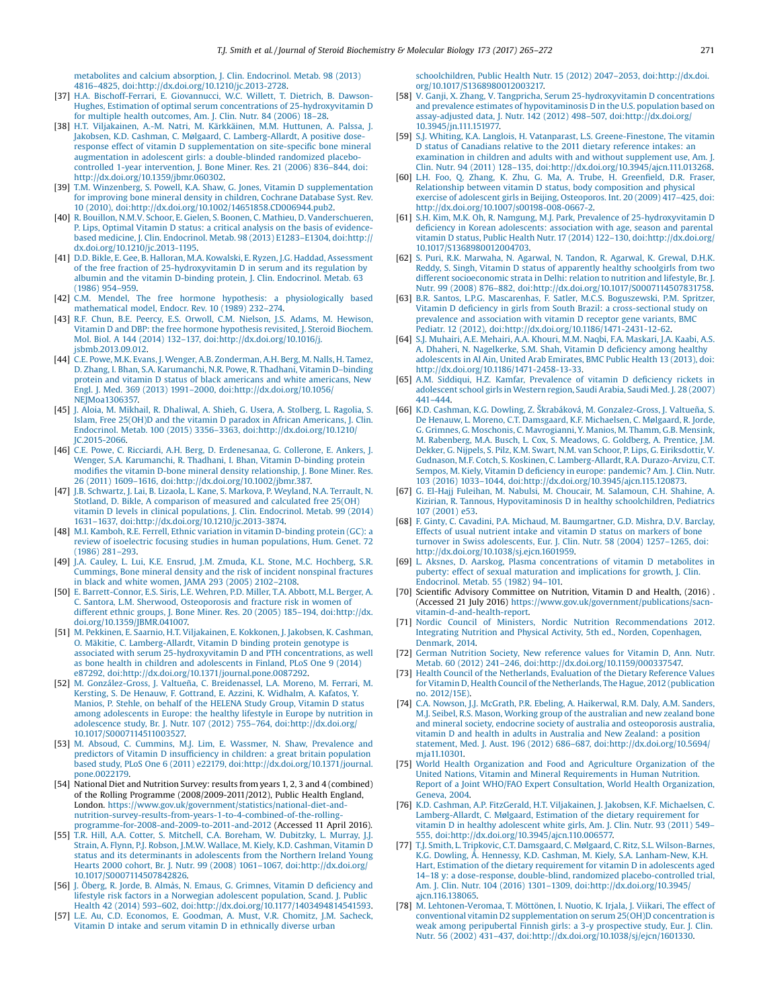<span id="page-6-0"></span>[metabolites](http://refhub.elsevier.com/S0960-0760(17)30045-6/sbref0180) and calcium absorption, J. Clin. Endocrinol. Metab. 98 (2013) 4816–4825, [doi:http://dx.doi.org/10.1210/jc.2013-2728.](http://refhub.elsevier.com/S0960-0760(17)30045-6/sbref0180)

- [37] H.A. [Bischoff-Ferrari,](http://refhub.elsevier.com/S0960-0760(17)30045-6/sbref0185) E. Giovannucci, W.C. Willett, T. Dietrich, B. Dawson-Hughes, Estimation of optimal serum concentrations of [25-hydroxyvitamin](http://refhub.elsevier.com/S0960-0760(17)30045-6/sbref0185) D for multiple health [outcomes,](http://refhub.elsevier.com/S0960-0760(17)30045-6/sbref0185) Am. J. Clin. Nutr. 84 (2006) 18–28.
- [38] H.T. Viljakainen, A.-M. Natri, M. [Kärkkäinen,](http://refhub.elsevier.com/S0960-0760(17)30045-6/sbref0190) M.M. Huttunen, A. Palssa, J. Jakobsen, K.D. Cashman, C. Mølgaard, C. [Lamberg-Allardt,](http://refhub.elsevier.com/S0960-0760(17)30045-6/sbref0190) A positive doseresponse effect of vitamin D [supplementation](http://refhub.elsevier.com/S0960-0760(17)30045-6/sbref0190) on site-specific bone mineral augmentation in adolescent girls: a [double-blinded](http://refhub.elsevier.com/S0960-0760(17)30045-6/sbref0190) randomized placebocontrolled 1-year [intervention,](http://refhub.elsevier.com/S0960-0760(17)30045-6/sbref0190) J. Bone Miner. Res. 21 (2006) 836–844, doi: [http://dx.doi.org/10.1359/jbmr.060302.](http://dx.doi.org/10.1359/jbmr.060302)
- [39] T.M. Winzenberg, S. Powell, K.A. Shaw, G. Jones, Vitamin D [supplementation](http://refhub.elsevier.com/S0960-0760(17)30045-6/sbref0195) for [improving](http://refhub.elsevier.com/S0960-0760(17)30045-6/sbref0195) bone mineral density in children, Cochrane Database Syst. Rev. 10 (2010), [doi:http://dx.doi.org/10.1002/14651858.CD006944.pub2.](http://refhub.elsevier.com/S0960-0760(17)30045-6/sbref0195)
- [40] R. Bouillon, N.M.V. Schoor, E. Gielen, S. Boonen, C. Mathieu, D. [Vanderschueren,](http://refhub.elsevier.com/S0960-0760(17)30045-6/sbref0200) P. Lips, Optimal Vitamin D status: a critical analysis on the basis of [evidence](http://refhub.elsevier.com/S0960-0760(17)30045-6/sbref0200)based medicine, J. Clin. [Endocrinol.](http://refhub.elsevier.com/S0960-0760(17)30045-6/sbref0200) Metab. 98 (2013) E1283–E1304, doi:http:// [dx.doi.org/10.1210/jc.2013-1195.](http://dx.doi.org/10.1210/jc.2013-1195)
- [41] D.D. Bikle, E. Gee, B. Halloran, M.A. Kowalski, E. Ryzen, J.G. Haddad, [Assessment](http://refhub.elsevier.com/S0960-0760(17)30045-6/sbref0205) of the free fraction of [25-hydroxyvitamin](http://refhub.elsevier.com/S0960-0760(17)30045-6/sbref0205) D in serum and its regulation by albumin and the vitamin D-binding protein, J. Clin. [Endocrinol.](http://refhub.elsevier.com/S0960-0760(17)30045-6/sbref0205) Metab. 63 [\(1986\)](http://refhub.elsevier.com/S0960-0760(17)30045-6/sbref0205) 954–959.
- [42] C.M. Mendel, The free hormone hypothesis: a [physiologically](http://refhub.elsevier.com/S0960-0760(17)30045-6/sbref0210) based [mathematical](http://refhub.elsevier.com/S0960-0760(17)30045-6/sbref0210) model, Endocr. Rev. 10 (1989) 232–274.
- [43] R.F. Chun, B.E. Peercy, E.S. Orwoll, C.M. Nielson, J.S. Adams, M. [Hewison,](http://refhub.elsevier.com/S0960-0760(17)30045-6/sbref0215) Vitamin D and DBP: the free hormone [hypothesis](http://refhub.elsevier.com/S0960-0760(17)30045-6/sbref0215) revisited, J. Steroid Biochem. Mol. Biol. A 144 (2014) 132–137, [doi:http://dx.doi.org/10.1016/j.](http://refhub.elsevier.com/S0960-0760(17)30045-6/sbref0215) [jsbmb.2013.09.012.](http://dx.doi.org/10.1016/j.jsbmb.2013.09.012)
- [44] C.E. Powe, M.K. Evans, J. Wenger, A.B. [Zonderman,](http://refhub.elsevier.com/S0960-0760(17)30045-6/sbref0220) A.H. Berg, M. Nalls, H. Tamez, D. Zhang, I. Bhan, S.A. [Karumanchi,](http://refhub.elsevier.com/S0960-0760(17)30045-6/sbref0220) N.R. Powe, R. Thadhani, Vitamin D–binding protein and vitamin D status of black americans and white [americans,](http://refhub.elsevier.com/S0960-0760(17)30045-6/sbref0220) New Engl. J. Med. 369 (2013) 1991–2000, [doi:http://dx.doi.org/10.1056/](http://refhub.elsevier.com/S0960-0760(17)30045-6/sbref0220) [NEJMoa1306357.](http://dx.doi.org/10.1056/NEJMoa1306357)
- [45] J. Aloia, M. Mikhail, R. [Dhaliwal,](http://refhub.elsevier.com/S0960-0760(17)30045-6/sbref0225) A. Shieh, G. Usera, A. Stolberg, L. Ragolia, S. Islam, Free 25(OH)D and the vitamin D paradox in African [Americans,](http://refhub.elsevier.com/S0960-0760(17)30045-6/sbref0225) J. Clin. Endocrinol. Metab. 100 (2015) 3356–3363, [doi:http://dx.doi.org/10.1210/](http://refhub.elsevier.com/S0960-0760(17)30045-6/sbref0225) [JC.2015-2066.](http://dx.doi.org/10.1210/JC.2015-2066)
- [46] C.E. Powe, C. Ricciardi, A.H. Berg, D. [Erdenesanaa,](http://refhub.elsevier.com/S0960-0760(17)30045-6/sbref0230) G. Collerone, E. Ankers, J. Wenger, S.A. [Karumanchi,](http://refhub.elsevier.com/S0960-0760(17)30045-6/sbref0230) R. Thadhani, I. Bhan, Vitamin D-binding protein modifies the vitamin D-bone mineral density [relationship,](http://refhub.elsevier.com/S0960-0760(17)30045-6/sbref0230) J. Bone Miner. Res. 26 (2011) 1609–1616, [doi:http://dx.doi.org/10.1002/jbmr.387.](http://refhub.elsevier.com/S0960-0760(17)30045-6/sbref0230)
- [47] J.B. [Schwartz,](http://refhub.elsevier.com/S0960-0760(17)30045-6/sbref0235) J. Lai, B. Lizaola, L. Kane, S. Markova, P. Weyland, N.A. Terrault, N. Stotland, D. Bikle, A [comparison](http://refhub.elsevier.com/S0960-0760(17)30045-6/sbref0235) of measured and calculated free 25(OH) vitamin D levels in clinical [populations,](http://refhub.elsevier.com/S0960-0760(17)30045-6/sbref0235) J. Clin. Endocrinol. Metab. 99 (2014) 1631–1637, [doi:http://dx.doi.org/10.1210/jc.2013-3874.](http://refhub.elsevier.com/S0960-0760(17)30045-6/sbref0235)
- [48] M.I. Kamboh, R.E. Ferrell, Ethnic variation in vitamin [D-binding](http://refhub.elsevier.com/S0960-0760(17)30045-6/sbref0240) protein (GC): a review of isoelectric focusing studies in human [populations,](http://refhub.elsevier.com/S0960-0760(17)30045-6/sbref0240) Hum. Genet. 72 [\(1986\)](http://refhub.elsevier.com/S0960-0760(17)30045-6/sbref0240) 281–293.
- [49] J.A. Cauley, L. Lui, K.E. Ensrud, J.M. Zmuda, K.L. Stone, M.C. [Hochberg,](http://refhub.elsevier.com/S0960-0760(17)30045-6/sbref0245) S.R. [Cummings,](http://refhub.elsevier.com/S0960-0760(17)30045-6/sbref0245) Bone mineral density and the risk of incident nonspinal fractures in black and white [women,](http://refhub.elsevier.com/S0960-0760(17)30045-6/sbref0245) JAMA 293 (2005) 2102–2108.
- [50] E. [Barrett-Connor,](http://refhub.elsevier.com/S0960-0760(17)30045-6/sbref0250) E.S. Siris, L.E. Wehren, P.D. Miller, T.A. Abbott, M.L. Berger, A. C. Santora, L.M. Sherwood, [Osteoporosis](http://refhub.elsevier.com/S0960-0760(17)30045-6/sbref0250) and fracture risk in women of different ethnic groups, J. Bone Miner. Res. 20 (2005) 185–194, [doi:http://dx.](http://refhub.elsevier.com/S0960-0760(17)30045-6/sbref0250) [doi.org/10.1359/JBMR.041007.](http://dx.doi.org/10.1359/JBMR.041007)
- [51] M. Pekkinen, E. Saarnio, H.T. [Viljakainen,](http://refhub.elsevier.com/S0960-0760(17)30045-6/sbref0255) E. Kokkonen, J. Jakobsen, K. Cashman, O. Mäkitie, C. [Lamberg-Allardt,](http://refhub.elsevier.com/S0960-0760(17)30045-6/sbref0255) Vitamin D binding protein genotype is associated with serum [25-hydroxyvitamin](http://refhub.elsevier.com/S0960-0760(17)30045-6/sbref0255) D and PTH concentrations, as well as bone health in children and [adolescents](http://refhub.elsevier.com/S0960-0760(17)30045-6/sbref0255) in Finland, PLoS One 9 (2014) e87292, [doi:http://dx.doi.org/10.1371/journal.pone.0087292.](http://refhub.elsevier.com/S0960-0760(17)30045-6/sbref0255)
- [52] M. [González-Gross,](http://refhub.elsevier.com/S0960-0760(17)30045-6/sbref0260) J. Valtueña, C. Breidenassel, L.A. Moreno, M. Ferrari, M. Kersting, S. De Henauw, F. Gottrand, E. Azzini, K. [Widhalm,](http://refhub.elsevier.com/S0960-0760(17)30045-6/sbref0260) A. Kafatos, Y. Manios, P. Stehle, on behalf of the [HELENA](http://refhub.elsevier.com/S0960-0760(17)30045-6/sbref0260) Study Group, Vitamin D status among [adolescents](http://refhub.elsevier.com/S0960-0760(17)30045-6/sbref0260) in Europe: the healthy lifestyle in Europe by nutrition in adolescence study, Br. J. Nutr. 107 (2012) 755–764, [doi:http://dx.doi.org/](http://refhub.elsevier.com/S0960-0760(17)30045-6/sbref0260) [10.1017/S0007114511003527.](http://dx.doi.org/10.1017/S0007114511003527)
- [53] M. Absoud, C. Cummins, M.J. Lim, E. Wassmer, N. Shaw, [Prevalence](http://refhub.elsevier.com/S0960-0760(17)30045-6/sbref0265) and predictors of Vitamin D insufficiency in children: a great britain [population](http://refhub.elsevier.com/S0960-0760(17)30045-6/sbref0265) based study, PLoS One 6 (2011) e22179, [doi:http://dx.doi.org/10.1371/journal.](http://refhub.elsevier.com/S0960-0760(17)30045-6/sbref0265) [pone.0022179.](http://dx.doi.org/10.1371/journal.pone.0022179)
- [54] National Diet and Nutrition Survey: results from years 1, 2, 3 and 4 (combined) of the Rolling Programme (2008/2009-2011/2012), Public Health England, London. [https://www.gov.uk/government/statistics/national-diet-and](https://www.gov.uk/government/statistics/national-diet-and-nutrition-survey-results-from-years-1-to-4-combined-of-the-rolling-programme-for-2008-and-2009-to-2011-and-2012)[nutrition-survey-results-from-years-1-to-4-combined-of-the-rolling](https://www.gov.uk/government/statistics/national-diet-and-nutrition-survey-results-from-years-1-to-4-combined-of-the-rolling-programme-for-2008-and-2009-to-2011-and-2012)[programme-for-2008-and-2009-to-2011-and-2012](https://www.gov.uk/government/statistics/national-diet-and-nutrition-survey-results-from-years-1-to-4-combined-of-the-rolling-programme-for-2008-and-2009-to-2011-and-2012) (Accessed 11 April 2016).
- [55] T.R. Hill, A.A. Cotter, S. Mitchell, C.A. [Boreham,](http://refhub.elsevier.com/S0960-0760(17)30045-6/sbref0275) W. Dubitzky, L. Murray, J.J. Strain, A. Flynn, P.J. Robson, J.M.W. Wallace, M. Kiely, K.D. [Cashman,](http://refhub.elsevier.com/S0960-0760(17)30045-6/sbref0275) Vitamin D status and its [determinants](http://refhub.elsevier.com/S0960-0760(17)30045-6/sbref0275) in adolescents from the Northern Ireland Young Hearts 2000 cohort, Br. J. Nutr. 99 (2008) 1061–1067, [doi:http://dx.doi.org/](http://refhub.elsevier.com/S0960-0760(17)30045-6/sbref0275) [10.1017/S0007114507842826.](http://dx.doi.org/10.1017/S0007114507842826)
- [56] J. Öberg, R. Jorde, B. Almås, N. Emaus, G. [Grimnes,](http://refhub.elsevier.com/S0960-0760(17)30045-6/sbref0280) Vitamin D deficiency and lifestyle risk factors in a Norwegian adolescent [population,](http://refhub.elsevier.com/S0960-0760(17)30045-6/sbref0280) Scand. J. Public Health 42 (2014) 593–602, [doi:http://dx.doi.org/10.1177/1403494814541593.](http://refhub.elsevier.com/S0960-0760(17)30045-6/sbref0280)
- [57] L.E. Au, C.D. [Economos,](http://refhub.elsevier.com/S0960-0760(17)30045-6/sbref0285) E. Goodman, A. Must, V.R. Chomitz, J.M. Sacheck, Vitamin D intake and serum vitamin D in [ethnically](http://refhub.elsevier.com/S0960-0760(17)30045-6/sbref0285) diverse urban

schoolchildren, Public Health Nutr. 15 (2012) 2047–2053, [doi:http://dx.doi.](http://refhub.elsevier.com/S0960-0760(17)30045-6/sbref0285) [org/10.1017/S1368980012003217.](http://dx.doi.org/10.1017/S1368980012003217)

- [58] V. Ganji, X. Zhang, V. Tangpricha, Serum [25-hydroxyvitamin](http://refhub.elsevier.com/S0960-0760(17)30045-6/sbref0290) D concentrations and prevalence estimates of [hypovitaminosis](http://refhub.elsevier.com/S0960-0760(17)30045-6/sbref0290) D in the U.S. population based on assay-adjusted data, J. Nutr. 142 (2012) 498–507, [doi:http://dx.doi.org/](http://refhub.elsevier.com/S0960-0760(17)30045-6/sbref0290) [10.3945/jn.111.151977.](http://dx.doi.org/10.3945/jn.111.151977)
- [59] S.J. Whiting, K.A. Langlois, H. Vatanparast, L.S. [Greene-Finestone,](http://refhub.elsevier.com/S0960-0760(17)30045-6/sbref0295) The vitamin D status of [Canadians](http://refhub.elsevier.com/S0960-0760(17)30045-6/sbref0295) relative to the 2011 dietary reference intakes: an [examination](http://refhub.elsevier.com/S0960-0760(17)30045-6/sbref0295) in children and adults with and without supplement use, Am. J. Clin. Nutr. 94 (2011) 128–135, [doi:http://dx.doi.org/10.3945/ajcn.111.013268.](http://refhub.elsevier.com/S0960-0760(17)30045-6/sbref0295)
- [60] L.H. Foo, Q. [Zhang,](http://refhub.elsevier.com/S0960-0760(17)30045-6/sbref0300) K. Zhu, G. Ma, A. Trube, H. Greenfield, D.R. Fraser, [Relationship](http://refhub.elsevier.com/S0960-0760(17)30045-6/sbref0300) between vitamin D status, body composition and physical exercise of adolescent girls in Beijing, [Osteoporos.](http://refhub.elsevier.com/S0960-0760(17)30045-6/sbref0300) Int. 20 (2009) 417–425, doi: [http://dx.doi.org/10.1007/s00198-008-0667-2.](http://dx.doi.org/10.1007/s00198-008-0667-2)
- [61] S.H. Kim, M.K. Oh, R. Namgung, M.J. Park, Prevalence of [25-hydroxyvitamin](http://refhub.elsevier.com/S0960-0760(17)30045-6/sbref0305) D deficiency in Korean [adolescents:](http://refhub.elsevier.com/S0960-0760(17)30045-6/sbref0305) association with age, season and parental vitamin D status, Public Health Nutr. 17 (2014) 122–130, [doi:http://dx.doi.org/](http://refhub.elsevier.com/S0960-0760(17)30045-6/sbref0305) [10.1017/S1368980012004703.](http://dx.doi.org/10.1017/S1368980012004703)
- [62] S. Puri, R.K. [Marwaha,](http://refhub.elsevier.com/S0960-0760(17)30045-6/sbref0310) N. Agarwal, N. Tandon, R. Agarwal, K. Grewal, D.H.K. Reddy, S. Singh, Vitamin D status of [apparently](http://refhub.elsevier.com/S0960-0760(17)30045-6/sbref0310) healthy schoolgirls from two different [socioeconomic](http://refhub.elsevier.com/S0960-0760(17)30045-6/sbref0310) strata in Delhi: relation to nutrition and lifestyle, Br. J. Nutr. 99 (2008) 876–882, [doi:http://dx.doi.org/10.1017/S0007114507831758.](http://refhub.elsevier.com/S0960-0760(17)30045-6/sbref0310)
- [63] B.R. Santos, L.P.G. [Mascarenhas,](http://refhub.elsevier.com/S0960-0760(17)30045-6/sbref0315) F. Satler, M.C.S. Boguszewski, P.M. Spritzer, Vitamin D deficiency in girls from South Brazil: a [cross-sectional](http://refhub.elsevier.com/S0960-0760(17)30045-6/sbref0315) study on prevalence and [association](http://refhub.elsevier.com/S0960-0760(17)30045-6/sbref0315) with vitamin D receptor gene variants, BMC Pediatr. 12 (2012), [doi:http://dx.doi.org/10.1186/1471-2431-12-62.](http://refhub.elsevier.com/S0960-0760(17)30045-6/sbref0315)
- [64] S.J. Muhairi, A.E. Mehairi, A.A. Khouri, M.M. Naqbi, F.A. [Maskari,](http://refhub.elsevier.com/S0960-0760(17)30045-6/sbref0320) J.A. Kaabi, A.S. A. Dhaheri, N. [Nagelkerke,](http://refhub.elsevier.com/S0960-0760(17)30045-6/sbref0320) S.M. Shah, Vitamin D deficiency among healthy [adolescents](http://refhub.elsevier.com/S0960-0760(17)30045-6/sbref0320) in Al Ain, United Arab Emirates, BMC Public Health 13 (2013), doi: [http://dx.doi.org/10.1186/1471-2458-13-33.](http://dx.doi.org/10.1186/1471-2458-13-33)
- [65] A.M. Siddiqui, H.Z. Kamfar, [Prevalence](http://refhub.elsevier.com/S0960-0760(17)30045-6/sbref0325) of vitamin D deficiency rickets in [adolescent](http://refhub.elsevier.com/S0960-0760(17)30045-6/sbref0325) school girls in Western region, Saudi Arabia, Saudi Med. J. 28 (2007) 441–[444](http://refhub.elsevier.com/S0960-0760(17)30045-6/sbref0325).
- [66] K.D. Cashman, K.G. Dowling, Z. Škrabáková, M. [Gonzalez-Gross,](http://refhub.elsevier.com/S0960-0760(17)30045-6/sbref0330) J. Valtueña, S. De Henauw, L. Moreno, C.T. Damsgaard, K.F. [Michaelsen,](http://refhub.elsevier.com/S0960-0760(17)30045-6/sbref0330) C. Mølgaard, R. Jorde, G. Grimnes, G. Moschonis, C. [Mavrogianni,](http://refhub.elsevier.com/S0960-0760(17)30045-6/sbref0330) Y. Manios, M. Thamm, G.B. Mensink, M. [Rabenberg,](http://refhub.elsevier.com/S0960-0760(17)30045-6/sbref0330) M.A. Busch, L. Cox, S. Meadows, G. Goldberg, A. Prentice, J.M. Dekker, G. Nijpels, S. Pilz, K.M. Swart, N.M. van Schoor, P. Lips, G. [Eiriksdottir,](http://refhub.elsevier.com/S0960-0760(17)30045-6/sbref0330) V. Gudnason, M.F. Cotch, S. Koskinen, C. [Lamberg-Allardt,](http://refhub.elsevier.com/S0960-0760(17)30045-6/sbref0330) R.A. Durazo-Arvizu, C.T. Sempos, M. Kiely, Vitamin D deficiency in europe: [pandemic?](http://refhub.elsevier.com/S0960-0760(17)30045-6/sbref0330) Am. J. Clin. Nutr. 103 (2016) 1033–1044, [doi:http://dx.doi.org/10.3945/ajcn.115.120873.](http://refhub.elsevier.com/S0960-0760(17)30045-6/sbref0330)
- [67] G. El-Hajj Fuleihan, M. Nabulsi, M. Choucair, M. [Salamoun,](http://refhub.elsevier.com/S0960-0760(17)30045-6/sbref0335) C.H. Shahine, A. Kizirian, R. Tannous, [Hypovitaminosis](http://refhub.elsevier.com/S0960-0760(17)30045-6/sbref0335) D in healthy schoolchildren, Pediatrics 107 [\(2001\)](http://refhub.elsevier.com/S0960-0760(17)30045-6/sbref0335) e53.
- [68] F. Ginty, C. Cavadini, P.A. Michaud, M. [Baumgartner,](http://refhub.elsevier.com/S0960-0760(17)30045-6/sbref0340) G.D. Mishra, D.V. Barclay, Effects of usual [nutrient](http://refhub.elsevier.com/S0960-0760(17)30045-6/sbref0340) intake and vitamin D status on markers of bone turnover in Swiss [adolescents,](http://refhub.elsevier.com/S0960-0760(17)30045-6/sbref0340) Eur. J. Clin. Nutr. 58 (2004) 1257–1265, doi: [http://dx.doi.org/10.1038/sj.ejcn.1601959.](http://dx.doi.org/10.1038/sj.ejcn.1601959)
- [69] L. Aksnes, D. Aarskog, Plasma [concentrations](http://refhub.elsevier.com/S0960-0760(17)30045-6/sbref0345) of vitamin D metabolites in puberty: effect of sexual maturation and [implications](http://refhub.elsevier.com/S0960-0760(17)30045-6/sbref0345) for growth, J. Clin. [Endocrinol.](http://refhub.elsevier.com/S0960-0760(17)30045-6/sbref0345) Metab. 55 (1982) 94–101.
- [70] Scientific Advisory Committee on Nutrition, Vitamin D and Health, (2016). (Accessed 21 July 2016) [https://www.gov.uk/government/publications/sacn](https://www.gov.uk/government/publications/sacn-vitamin-d-and-health-report)[vitamin-d-and-health-report.](https://www.gov.uk/government/publications/sacn-vitamin-d-and-health-report)
- [71] Nordic Council of Ministers, Nordic Nutrition [Recommendations](http://refhub.elsevier.com/S0960-0760(17)30045-6/sbref0355) 2012. Integrating Nutrition and Physical Activity, 5th ed., Norden, [Copenhagen,](http://refhub.elsevier.com/S0960-0760(17)30045-6/sbref0355) [Denmark,](http://refhub.elsevier.com/S0960-0760(17)30045-6/sbref0355) 2014.
- [72] German Nutrition Society, New [reference](http://refhub.elsevier.com/S0960-0760(17)30045-6/sbref0360) values for Vitamin D, Ann. Nutr. Metab. 60 (2012) 241–246, [doi:http://dx.doi.org/10.1159/000337547.](http://refhub.elsevier.com/S0960-0760(17)30045-6/sbref0360)
- [73] Health Council of the [Netherlands,](http://refhub.elsevier.com/S0960-0760(17)30045-6/sbref0365) Evaluation of the Dietary Reference Values for Vitamin D, Health Council of the [Netherlands,](http://refhub.elsevier.com/S0960-0760(17)30045-6/sbref0365) The Hague, 2012 (publication no. [2012/15E\).](http://refhub.elsevier.com/S0960-0760(17)30045-6/sbref0365)
- [74] C.A. Nowson, J.J. McGrath, P.R. Ebeling, A. [Haikerwal,](http://refhub.elsevier.com/S0960-0760(17)30045-6/sbref0370) R.M. Daly, A.M. Sanders, M.J. Seibel, R.S. Mason, Working group of the [australian](http://refhub.elsevier.com/S0960-0760(17)30045-6/sbref0370) and new zealand bone and mineral society, endocrine society of australia and [osteoporosis](http://refhub.elsevier.com/S0960-0760(17)30045-6/sbref0370) australia, vitamin D and health in adults in [Australia](http://refhub.elsevier.com/S0960-0760(17)30045-6/sbref0370) and New Zealand: a position statement, Med. J. Aust. 196 (2012) 686–687, [doi:http://dx.doi.org/10.5694/](http://refhub.elsevier.com/S0960-0760(17)30045-6/sbref0370) [mja11.10301.](http://dx.doi.org/10.5694/mja11.10301)
- [75] World Health Organization and Food and Agriculture [Organization](http://refhub.elsevier.com/S0960-0760(17)30045-6/sbref0375) of the United Nations, Vitamin and Mineral [Requirements](http://refhub.elsevier.com/S0960-0760(17)30045-6/sbref0375) in Human Nutrition. Report of a Joint WHO/FAO Expert Consultation, World Health [Organization,](http://refhub.elsevier.com/S0960-0760(17)30045-6/sbref0375) [Geneva,](http://refhub.elsevier.com/S0960-0760(17)30045-6/sbref0375) 2004.
- [76] K.D. Cashman, A.P. FitzGerald, H.T. Viljakainen, J. Jakobsen, K.F. [Michaelsen,](http://refhub.elsevier.com/S0960-0760(17)30045-6/sbref0380) C. [Lamberg-Allardt,](http://refhub.elsevier.com/S0960-0760(17)30045-6/sbref0380) C. Mølgaard, Estimation of the dietary requirement for vitamin D in healthy [adolescent](http://refhub.elsevier.com/S0960-0760(17)30045-6/sbref0380) white girls, Am. J. Clin. Nutr. 93 (2011) 549– 555, [doi:http://dx.doi.org/10.3945/ajcn.110.006577.](http://refhub.elsevier.com/S0960-0760(17)30045-6/sbref0380)
- [77] T.J. Smith, L. Tripkovic, C.T. Damsgaard, C. Mølgaard, C. Ritz, S.L. [Wilson-Barnes,](http://refhub.elsevier.com/S0960-0760(17)30045-6/sbref0385) K.G. Dowling, Á. Hennessy, K.D. Cashman, M. Kiely, S.A. [Lanham-New,](http://refhub.elsevier.com/S0960-0760(17)30045-6/sbref0385) K.H. Hart, Estimation of the dietary [requirement](http://refhub.elsevier.com/S0960-0760(17)30045-6/sbref0385) for vitamin D in adolescents aged 14–18 y: a dose-response, double-blind, randomized [placebo-controlled](http://refhub.elsevier.com/S0960-0760(17)30045-6/sbref0385) trial, Am. J. Clin. Nutr. 104 (2016) 1301–1309, [doi:http://dx.doi.org/10.3945/](http://refhub.elsevier.com/S0960-0760(17)30045-6/sbref0385) [ajcn.116.138065.](http://dx.doi.org/10.3945/​ajcn.116.138065)
- [78] M. [Lehtonen-Veromaa,](http://refhub.elsevier.com/S0960-0760(17)30045-6/sbref0390) T. Möttönen, I. Nuotio, K. Irjala, J. Viikari, The effect of conventional vitamin D2 [supplementation](http://refhub.elsevier.com/S0960-0760(17)30045-6/sbref0390) on serum 25(OH)D concentration is weak among [peripubertal](http://refhub.elsevier.com/S0960-0760(17)30045-6/sbref0390) Finnish girls: a 3-y prospective study, Eur. J. Clin. Nutr. 56 (2002) 431–437, [doi:http://dx.doi.org/10.1038/sj/ejcn/1601330.](http://refhub.elsevier.com/S0960-0760(17)30045-6/sbref0390)